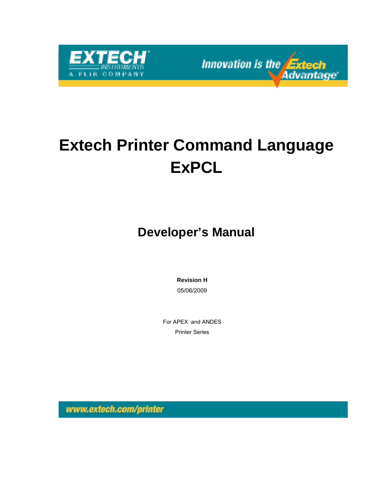

Innovation is the **Extech Advantage** 

# **Extech Printer Command Language ExPCL**

**Developer's Manual** 

**Revision H**  05/06/2009

For APEX and ANDES Printer Series

www.extech.com/printer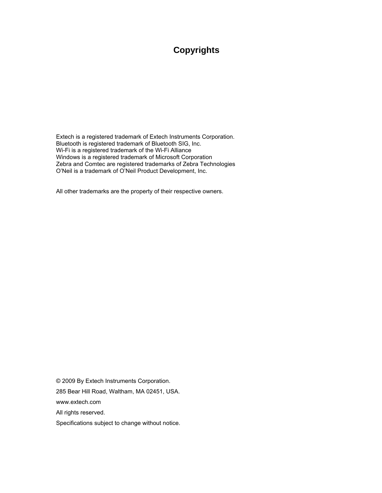## **Copyrights**

Extech is a registered trademark of Extech Instruments Corporation. Bluetooth is registered trademark of Bluetooth SIG, Inc. Wi-Fi is a registered trademark of the Wi-Fi Alliance Windows is a registered trademark of Microsoft Corporation Zebra and Comtec are registered trademarks of Zebra Technologies O'Neil is a trademark of O'Neil Product Development, Inc.

All other trademarks are the property of their respective owners.

© 2009 By Extech Instruments Corporation.

285 Bear Hill Road, Waltham, MA 02451, USA.

www.extech.com

All rights reserved.

Specifications subject to change without notice.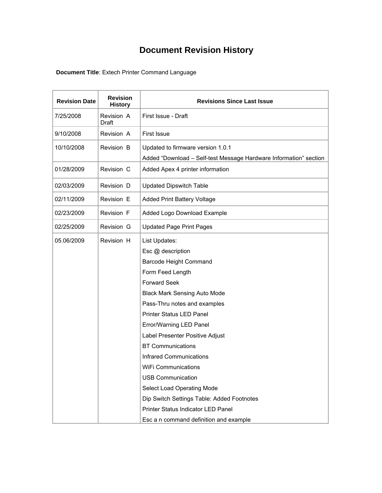## **Document Revision History**

**Document Title**: Extech Printer Command Language

| <b>Revision Date</b> | <b>Revision</b><br><b>History</b> | <b>Revisions Since Last Issue</b>                                 |
|----------------------|-----------------------------------|-------------------------------------------------------------------|
| 7/25/2008            | Revision A<br>Draft               | First Issue - Draft                                               |
| 9/10/2008            | Revision A                        | <b>First Issue</b>                                                |
| 10/10/2008           | Revision B                        | Updated to firmware version 1.0.1                                 |
|                      |                                   | Added "Download - Self-test Message Hardware Information" section |
| 01/28/2009           | Revision C                        | Added Apex 4 printer information                                  |
| 02/03/2009           | Revision D                        | <b>Updated Dipswitch Table</b>                                    |
| 02/11/2009           | Revision E                        | Added Print Battery Voltage                                       |
| 02/23/2009           | <b>Revision F</b>                 | Added Logo Download Example                                       |
| 02/25/2009           | Revision G                        | <b>Updated Page Print Pages</b>                                   |
| 05.06/2009           | Revision H                        | List Updates:                                                     |
|                      |                                   | Esc @ description                                                 |
|                      |                                   | <b>Barcode Height Command</b>                                     |
|                      |                                   | Form Feed Length                                                  |
|                      |                                   | <b>Forward Seek</b>                                               |
|                      |                                   | <b>Black Mark Sensing Auto Mode</b>                               |
|                      |                                   | Pass-Thru notes and examples                                      |
|                      |                                   | Printer Status LED Panel                                          |
|                      |                                   | Error/Warning LED Panel                                           |
|                      |                                   | Label Presenter Positive Adjust                                   |
|                      |                                   | <b>BT Communications</b>                                          |
|                      |                                   | Infrared Communications                                           |
|                      |                                   | <b>WiFi Communications</b>                                        |
|                      |                                   | <b>USB Communication</b>                                          |
|                      |                                   | Select Load Operating Mode                                        |
|                      |                                   | Dip Switch Settings Table: Added Footnotes                        |
|                      |                                   | Printer Status Indicator LED Panel                                |
|                      |                                   | Esc a n command definition and example                            |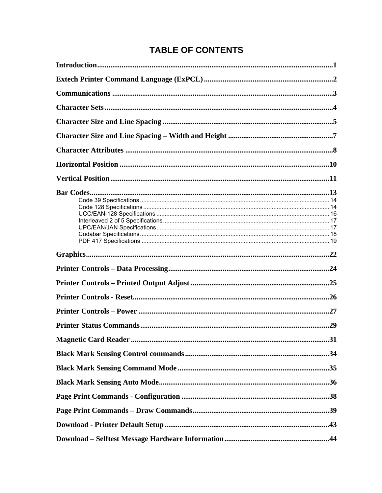## **TABLE OF CONTENTS**

| .31 |
|-----|
|     |
|     |
|     |
|     |
|     |
|     |
|     |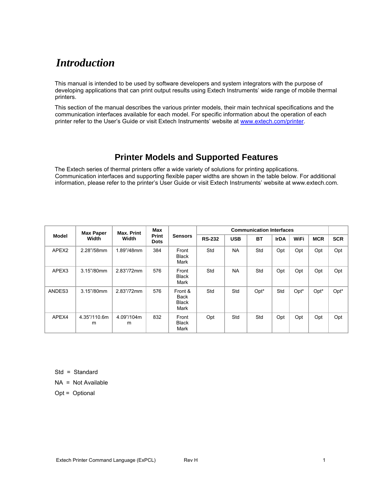## *Introduction*

This manual is intended to be used by software developers and system integrators with the purpose of developing applications that can print output results using Extech Instruments' wide range of mobile thermal printers.

This section of the manual describes the various printer models, their main technical specifications and the communication interfaces available for each model. For specific information about the operation of each printer refer to the User's Guide or visit Extech Instruments' website at www.extech.com/printer.

## **Printer Models and Supported Features**

The Extech series of thermal printers offer a wide variety of solutions for printing applications. Communication interfaces and supporting flexible paper widths are shown in the table below. For additional information, please refer to the printer's User Guide or visit Extech Instruments' website at www.extech.com.

|        | <b>Max Paper</b>  | Max. Print      | <b>Max</b>           |                                         | <b>Communication Interfaces</b> |            |           |             |      |            |            |  |  |
|--------|-------------------|-----------------|----------------------|-----------------------------------------|---------------------------------|------------|-----------|-------------|------|------------|------------|--|--|
| Model  | Width             | Width           | Print<br><b>Dots</b> | <b>Sensors</b>                          | <b>RS-232</b>                   | <b>USB</b> | <b>BT</b> | <b>IrDA</b> | WiFi | <b>MCR</b> | <b>SCR</b> |  |  |
| APEX2  | 2.28"/58mm        | 1.89"/48mm      | 384                  | Front<br><b>Black</b><br>Mark           | Std                             | <b>NA</b>  | Std       | Opt         | Opt  | Opt        | Opt        |  |  |
| APEX3  | 3.15"/80mm        | 2.83"/72mm      | 576                  | Front<br><b>Black</b><br>Mark           | Std                             | <b>NA</b>  | Std       | Opt         | Opt  | Opt        | Opt        |  |  |
| ANDES3 | 3.15"/80mm        | 2.83"/72mm      | 576                  | Front &<br>Back<br><b>Black</b><br>Mark | Std                             | Std        | Opt*      | Std         | Opt* | Opt*       | Opt*       |  |  |
| APEX4  | 4.35"/110.6m<br>m | 4.09"/104m<br>m | 832                  | Front<br><b>Black</b><br>Mark           | Opt                             | Std        | Std       | Opt         | Opt  | Opt        | Opt        |  |  |

Std = Standard

 $NA = Not Available$ 

Opt = Optional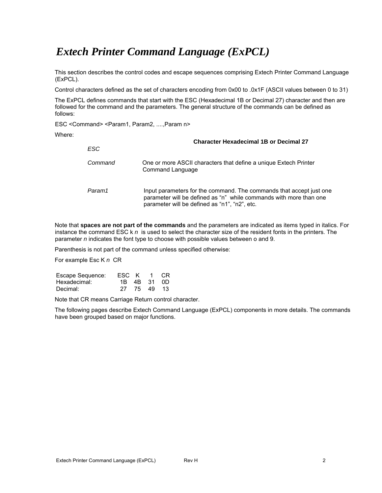## *Extech Printer Command Language (ExPCL)*

This section describes the control codes and escape sequences comprising Extech Printer Command Language (ExPCL).

Control characters defined as the set of characters encoding from 0x00 to .0x1F (ASCII values between 0 to 31)

The ExPCL defines commands that start with the ESC (Hexadecimal 1B or Decimal 27) character and then are followed for the command and the parameters. The general structure of the commands can be defined as follows:

ESC < Command> < Param1, Param2, ...., Param n>

Where:

|         | <b>Character Hexadecimal 1B or Decimal 27</b>                                                                                                                                              |
|---------|--------------------------------------------------------------------------------------------------------------------------------------------------------------------------------------------|
| ESC     |                                                                                                                                                                                            |
| Command | One or more ASCII characters that define a unique Extech Printer<br>Command Language                                                                                                       |
| Param1  | Input parameters for the command. The commands that accept just one<br>parameter will be defined as "n" while commands with more than one<br>parameter will be defined as "n1", "n2", etc. |

Note that **spaces are not part of the commands** and the parameters are indicated as items typed in italics. For instance the command ESC k *n* is used to select the character size of the resident fonts in the printers. The parameter *n* indicates the font type to choose with possible values between o and 9.

Parenthesis is not part of the command unless specified otherwise:

For example Esc K *n* CR

| Escape Sequence: | ESC K 1 CR |             |  |
|------------------|------------|-------------|--|
| Hexadecimal:     |            | 1B 4B 31 0D |  |
| Decimal:         |            | 27 75 49 13 |  |

Note that CR means Carriage Return control character.

The following pages describe Extech Command Language (ExPCL) components in more details. The commands have been grouped based on major functions.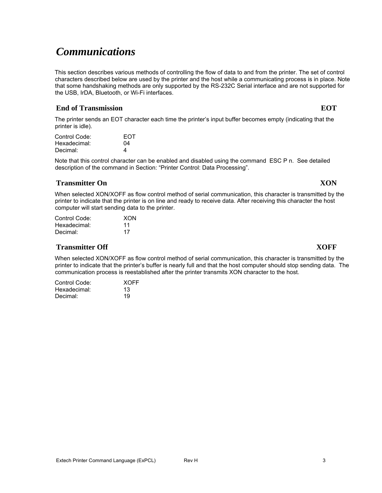## *Communications*

This section describes various methods of controlling the flow of data to and from the printer. The set of control characters described below are used by the printer and the host while a communicating process is in place. Note that some handshaking methods are only supported by the RS-232C Serial interface and are not supported for the USB, IrDA, Bluetooth, or Wi-Fi interfaces.

## **Example 1** End of Transmission **EOT**

The printer sends an EOT character each time the printer's input buffer becomes empty (indicating that the printer is idle).

| Control Code: | <b>FOT</b> |
|---------------|------------|
| Hexadecimal:  | 04         |
| Decimal:      | 4          |

Note that this control character can be enabled and disabled using the command ESC P n. See detailed description of the command in Section: "Printer Control: Data Processing".

## **Transmitter On XON**

When selected XON/XOFF as flow control method of serial communication, this character is transmitted by the printer to indicate that the printer is on line and ready to receive data. After receiving this character the host computer will start sending data to the printer.

| Control Code: | XON |
|---------------|-----|
| Hexadecimal:  | 11  |
| Decimal:      | 17  |

### **Transmitter Off XOFF**

When selected XON/XOFF as flow control method of serial communication, this character is transmitted by the printer to indicate that the printer's buffer is nearly full and that the host computer should stop sending data. The communication process is reestablished after the printer transmits XON character to the host.

| Control Code: | <b>XOFF</b> |
|---------------|-------------|
| Hexadecimal:  | 13          |
| Decimal:      | 19          |

Extech Printer Command Language (ExPCL) Rev H 3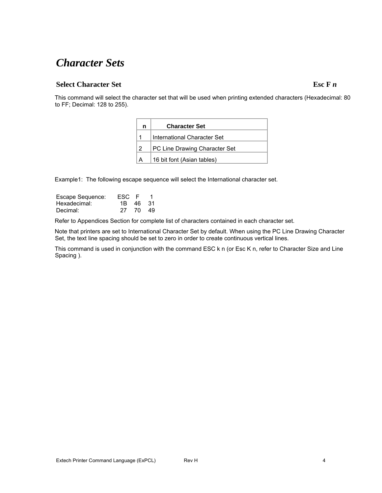## *Character Sets*

## **Select Character Set Esc F** *n*

This command will select the character set that will be used when printing extended characters (Hexadecimal: 80 to FF; Decimal: 128 to 255).

| n | <b>Character Set</b>          |
|---|-------------------------------|
|   | International Character Set   |
| 2 | PC Line Drawing Character Set |
| A | 16 bit font (Asian tables)    |

Example1: The following escape sequence will select the International character set.

| Escape Sequence: | ESC F |       |    |
|------------------|-------|-------|----|
| Hexadecimal:     | 1B .  | 46 31 |    |
| Decimal:         | 27.   | - 70  | 49 |

Refer to Appendices Section for complete list of characters contained in each character set.

Note that printers are set to International Character Set by default. When using the PC Line Drawing Character Set, the text line spacing should be set to zero in order to create continuous vertical lines.

This command is used in conjunction with the command ESC k n (or Esc K n, refer to Character Size and Line Spacing ).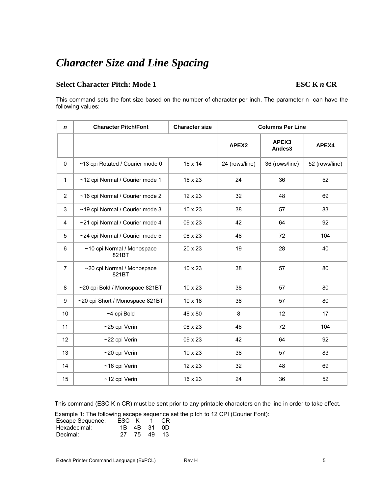## *Character Size and Line Spacing*

## **Select Character Pitch: Mode 1** ESC **K** *n* CR

This command sets the font size based on the number of character per inch. The parameter n can have the following values:

| n              | <b>Character Pitch/Font</b>         | <b>Character size</b> | <b>Columns Per Line</b> |                 |                |  |
|----------------|-------------------------------------|-----------------------|-------------------------|-----------------|----------------|--|
|                |                                     |                       | APEX2                   | APEX3<br>Andes3 | APEX4          |  |
| 0              | ~13 cpi Rotated / Courier mode 0    | 16 x 14               | 24 (rows/line)          | 36 (rows/line)  | 52 (rows/line) |  |
| $\mathbf{1}$   | ~12 cpi Normal / Courier mode 1     | 16 x 23               | 24                      | 36              | 52             |  |
| $\overline{2}$ | ~16 cpi Normal / Courier mode 2     | 12 x 23               | 32                      | 48              | 69             |  |
| 3              | ~19 cpi Normal / Courier mode 3     | 10 x 23               | 38                      | 57              | 83             |  |
| 4              | ~21 cpi Normal / Courier mode 4     | 09 x 23               | 42                      | 64              | 92             |  |
| 5              | ~24 cpi Normal / Courier mode 5     | 08 x 23               | 48                      | 72              | 104            |  |
| 6              | ~10 cpi Normal / Monospace<br>821BT | 20 x 23               | 19                      | 28              | 40             |  |
| $\overline{7}$ | ~20 cpi Normal / Monospace<br>821BT | 10 x 23               | 38                      | 57              | 80             |  |
| 8              | ~20 cpi Bold / Monospace 821BT      | 10 x 23               | 38                      | 57              | 80             |  |
| 9              | ~20 cpi Short / Monospace 821BT     | 10 x 18               | 38                      | 57              | 80             |  |
| 10             | ~4 cpi Bold                         | 48 x 80               | 8                       | 12              | 17             |  |
| 11             | ~25 cpi Verin                       | 08 x 23               | 48                      | 72              | 104            |  |
| 12             | ~22 cpi Verin                       | 09 x 23               | 42                      | 64              | 92             |  |
| 13             | ~20 cpi Verin                       | 10 x 23               | 38                      | 57              | 83             |  |
| 14             | ~16 cpi Verin                       | 12 x 23               | 32                      | 48              | 69             |  |
| 15             | ~12 cpi Verin                       | 16 x 23               | 24                      | 36              | 52             |  |

This command (ESC K n CR) must be sent prior to any printable characters on the line in order to take effect.

Example 1: The following escape sequence set the pitch to 12 CPI (Courier Font):

| Escape Sequence: | ESC K 1 CR |             |  |
|------------------|------------|-------------|--|
| Hexadecimal:     |            | 1B 4B 31 0D |  |
| Decimal:         |            | 27 75 49 13 |  |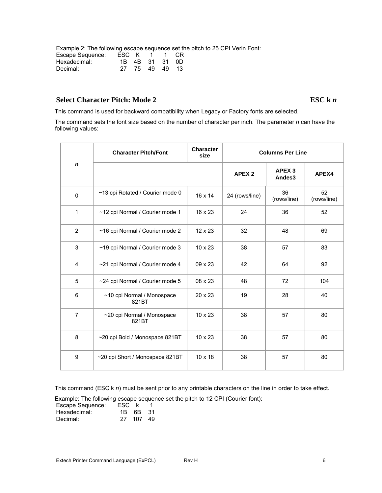Example 2: The following escape sequence set the pitch to 25 CPI Verin Font:

| Escape Sequence: | ESC K 1 1 CR |                |  |
|------------------|--------------|----------------|--|
| Hexadecimal:     |              | 1B 4B 31 31 0D |  |
| Decimal:         |              | 27 75 49 49 13 |  |

## Select Character Pitch: Mode 2 ESC k *n*

This command is used for backward compatibility when Legacy or Factory fonts are selected.

The command sets the font size based on the number of character per inch. The parameter *n* can have the following values:

|                | <b>Character Pitch/Font</b>         | <b>Character</b><br>size | <b>Columns Per Line</b> |                             |                   |
|----------------|-------------------------------------|--------------------------|-------------------------|-----------------------------|-------------------|
| $\mathbf n$    |                                     |                          | APEX <sub>2</sub>       | APEX <sub>3</sub><br>Andes3 | APEX4             |
| $\Omega$       | ~13 cpi Rotated / Courier mode 0    | 16 x 14                  | 24 (rows/line)          | 36<br>(rows/line)           | 52<br>(rows/line) |
| $\mathbf{1}$   | ~12 cpi Normal / Courier mode 1     | 16 x 23                  | 24                      | 36                          | 52                |
| $\overline{2}$ | ~16 cpi Normal / Courier mode 2     | $12 \times 23$           | 32                      | 48                          | 69                |
| 3              | ~19 cpi Normal / Courier mode 3     | 10 x 23                  | 38                      | 57                          | 83                |
| 4              | ~21 cpi Normal / Courier mode 4     | 09 x 23                  | 42                      | 64                          | 92                |
| 5              | ~24 cpi Normal / Courier mode 5     | 08 x 23                  | 48                      | 72                          | 104               |
| 6              | ~10 cpi Normal / Monospace<br>821BT | 20 x 23                  | 19                      | 28                          | 40                |
| $\overline{7}$ | ~20 cpi Normal / Monospace<br>821BT | 10 x 23                  | 38                      | 57                          | 80                |
| 8              | ~20 cpi Bold / Monospace 821BT      | 10 x 23                  | 38                      | 57                          | 80                |
| 9              | ~20 cpi Short / Monospace 821BT     | 10 x 18                  | 38                      | 57                          | 80                |

This command (ESC k *n*) must be sent prior to any printable characters on the line in order to take effect.

Example: The following escape sequence set the pitch to 12 CPI (Courier font):

| Escape Sequence: | FSC k |          |     |
|------------------|-------|----------|-----|
| Hexadecimal:     |       | 1B 6B 31 |     |
| Decimal:         |       | 27 107   | -49 |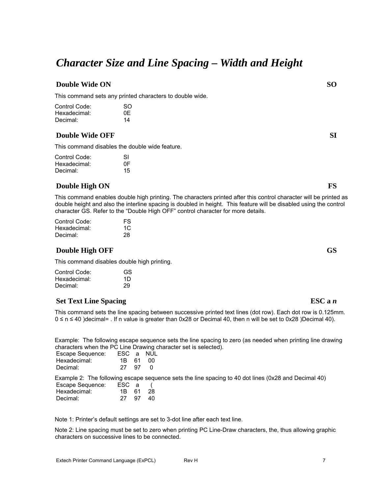## *Character Size and Line Spacing – Width and Height*

### **Double Wide ON** SO **SO**

This command sets any printed characters to double wide.

| Control Code: | SO. |
|---------------|-----|
| Hexadecimal:  | 0E  |
| Decimal:      | 14  |

## **Double Wide OFF SI**

This command disables the double wide feature.

| Control Code: | SI |
|---------------|----|
| Hexadecimal:  | 0F |
| Decimal:      | 15 |

#### **Double High ON** FS

This command enables double high printing. The characters printed after this control character will be printed as double height and also the interline spacing is doubled in height. This feature will be disabled using the control character GS. Refer to the "Double High OFF" control character for more details.

| Control Code: | FS |
|---------------|----|
| Hexadecimal:  | 1C |
| Decimal:      | 28 |

### **Double High OFF GS** GS

This command disables double high printing.

| GS |
|----|
| 1D |
| 29 |
|    |

## **Set Text Line Spacing ESC a** *n*

This command sets the line spacing between successive printed text lines (dot row). Each dot row is 0.125mm. 0 ≤ n ≤ 40 )decimal= . If n value is greater than 0x28 or Decimal 40, then n will be set to 0x28 )Decimal 40).

Example: The following escape sequence sets the line spacing to zero (as needed when printing line drawing characters when the PC Line Drawing character set is selected).

| Escape Sequence: | ESC a NUL |     |
|------------------|-----------|-----|
| Hexadecimal:     | 1B 61 00  |     |
| Decimal:         | 27 97     | - 0 |

Example 2: The following escape sequence sets the line spacing to 40 dot lines (0x28 and Decimal 40)

| Escape Sequence: | ESC a |      |      |
|------------------|-------|------|------|
| Hexadecimal:     | 1B 61 |      | - 28 |
| Decimal:         | 27.   | - 97 | 40.  |

Note 1: Printer's default settings are set to 3-dot line after each text line.

Note 2: Line spacing must be set to zero when printing PC Line-Draw characters, the, thus allowing graphic characters on successive lines to be connected.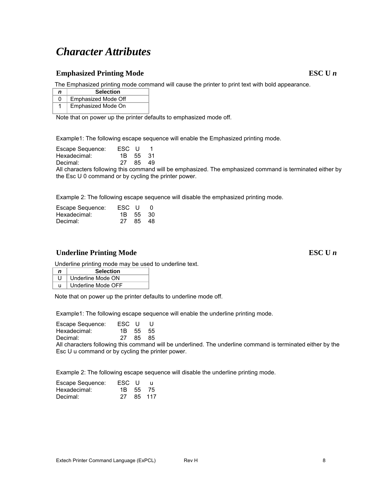## *Character Attributes*

## **Emphasized Printing Mode** ESC U *n*

The Emphasized printing mode command will cause the printer to print text with bold appearance.

| n | <b>Selection</b>    |
|---|---------------------|
| Ω | Emphasized Mode Off |
|   | Emphasized Mode On  |

Note that on power up the printer defaults to emphasized mode off.

Example1: The following escape sequence will enable the Emphasized printing mode.

| Escape Sequence: | ESC U |    |          |
|------------------|-------|----|----------|
| Hexadecimal:     |       |    | 1B 55 31 |
| Decimal:         | 27.   | 85 | -49      |

All characters following this command will be emphasized. The emphasized command is terminated either by the Esc U 0 command or by cycling the printer power.

Example 2: The following escape sequence will disable the emphasized printing mode.

| Escape Sequence: | ESC U    |       | - 0 |
|------------------|----------|-------|-----|
| Hexadecimal:     | 1B 55 30 |       |     |
| Decimal:         | 27.      | 85.48 |     |

### Underline Printing Mode ESC U *n*

Underline printing mode may be used to underline text.

| n | <b>Selection</b>   |
|---|--------------------|
|   | Underline Mode ON  |
|   | Underline Mode OFF |

Note that on power up the printer defaults to underline mode off.

Example1: The following escape sequence will enable the underline printing mode.

| Escape Sequence: | ESC U    |       | - U |
|------------------|----------|-------|-----|
| Hexadecimal:     | 1B 55 55 |       |     |
| Decimal:         | 27.      | 85 85 |     |

All characters following this command will be underlined. The underline command is terminated either by the Esc U u command or by cycling the printer power.

Example 2: The following escape sequence will disable the underline printing mode.

| Escape Sequence: | ESC U    | -11    |
|------------------|----------|--------|
| Hexadecimal:     | 1B 55 75 |        |
| Decimal:         | 27.      | 85 117 |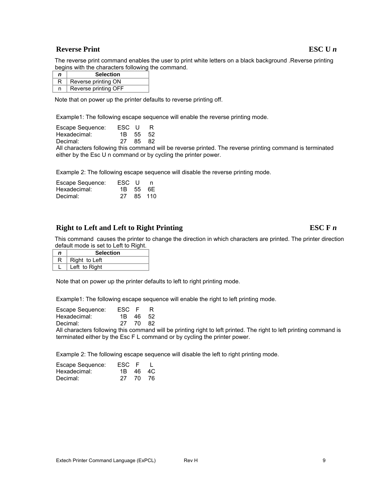## **Reverse Print ESC U** *n*

The reverse print command enables the user to print white letters on a black background .Reverse printing begins with the characters following the command.

| n | <b>Selection</b>     |
|---|----------------------|
| R | Reverse printing ON  |
| n | Reverse printing OFF |

Note that on power up the printer defaults to reverse printing off.

Example1: The following escape sequence will enable the reverse printing mode.

| Escape Sequence: | ESC U | -R       |
|------------------|-------|----------|
| Hexadecimal:     |       | 1B 55 52 |
| Decimal:         | -27   | 85 82    |

All characters following this command will be reverse printed. The reverse printing command is terminated either by the Esc U n command or by cycling the printer power.

Example 2: The following escape sequence will disable the reverse printing mode.

| Escape Sequence: | ESC U    | n      |
|------------------|----------|--------|
| Hexadecimal:     | 1B 55 6F |        |
| Decimal:         | 27       | 85 110 |

## **Right to Left and Left to Right Printing ESC F** *n*

This command causes the printer to change the direction in which characters are printed. The printer direction default mode is set to Left to Right.

| n | <b>Selection</b> |
|---|------------------|
|   | Right to Left    |
|   | Left to Right    |

Note that on power up the printer defaults to left to right printing mode.

Example1: The following escape sequence will enable the right to left printing mode.

| Escape Sequence: | ESC F    | R    |
|------------------|----------|------|
| Hexadecimal:     | 1B 46 52 |      |
| Decimal:         | 27 70    | - 82 |

All characters following this command will be printing right to left printed. The right to left printing command is terminated either by the Esc F L command or by cycling the printer power.

Example 2: The following escape sequence will disable the left to right printing mode.

| Escape Sequence: | ESC F    |  |
|------------------|----------|--|
| Hexadecimal:     | 1R 46 4C |  |
| Decimal:         | 27 70 76 |  |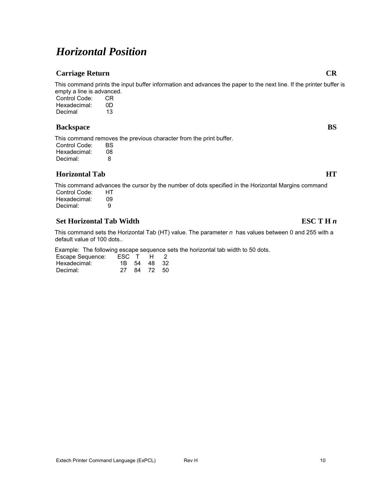## *Horizontal Position*

## **Carriage Return CR CR**

This command prints the input buffer information and advances the paper to the next line. If the printer buffer is empty a line is advanced. Control Code: CR

Hexadecimal: 0D Decimal 13

### **Backspace** BS

This command removes the previous character from the print buffer. Control Code: BS

| Hexadecimal: | 08 |
|--------------|----|
| Decimal:     | 8  |

## **Horizontal Tab HT**

This command advances the cursor by the number of dots specified in the Horizontal Margins command Control Code: HT Hexadecimal: 09<br>Decimal: 9 Decimal:

## **Set Horizontal Tab Width ESC T H** *n*

This command sets the Horizontal Tab (HT) value. The parameter *n* has values between 0 and 255 with a default value of 100 dots..

Example: The following escape sequence sets the horizontal tab width to 50 dots.

| Escape Sequence: | ESC T H |    |          | $\mathcal{L}$ |
|------------------|---------|----|----------|---------------|
| Hexadecimal:     | 1B -    | 54 | 48 32    |               |
| Decimal:         | 27      |    | 84 72 50 |               |

## Extech Printer Command Language (ExPCL) Rev H 10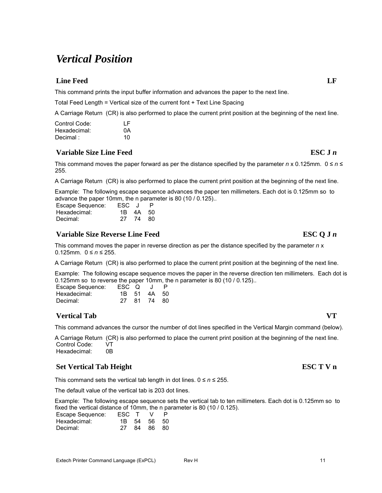## *Vertical Position*

## **Line Feed** LF

This command prints the input buffer information and advances the paper to the next line.

Total Feed Length = Vertical size of the current font + Text Line Spacing

A Carriage Return (CR) is also performed to place the current print position at the beginning of the next line.

| Control Code: | ΙF |
|---------------|----|
| Hexadecimal:  | 0A |
| Decimal:      | 10 |

## **Variable Size Line Feed ESC J** *n*

This command moves the paper forward as per the distance specified by the parameter  $n \times 0.125$ mm.  $0 \le n \le$ 255.

A Carriage Return (CR) is also performed to place the current print position at the beginning of the next line.

Example: The following escape sequence advances the paper ten millimeters. Each dot is 0.125mm so to advance the paper 10mm, the n parameter is 80 (10 / 0.125)..

| Escape Sequence: | ESC J |          | P. |
|------------------|-------|----------|----|
| Hexadecimal:     |       | 1B 4A 50 |    |
| Decimal:         |       | 27 74 80 |    |

### **Variable Size Reverse Line Feed ESC Q J** *n*

This command moves the paper in reverse direction as per the distance specified by the parameter *n* x 0.125mm. 0 ≤ *n* ≤ 255.

A Carriage Return (CR) is also performed to place the current print position at the beginning of the next line.

Example: The following escape sequence moves the paper in the reverse direction ten millimeters. Each dot is 0.125mm so to reverse the paper 10mm, the n parameter is 80 (10 / 0.125)..

| Escape Sequence: | ESC Q |             | P. |
|------------------|-------|-------------|----|
| Hexadecimal:     |       | 1B 51 4A 50 |    |
| Decimal:         | 27.   | 81 74 80    |    |

## **Vertical Tab VT**

This command advances the cursor the number of dot lines specified in the Vertical Margin command (below).

A Carriage Return (CR) is also performed to place the current print position at the beginning of the next line. Control Code: VT<br>Hexadecimal: 0B Hexadecimal:

## **Set Vertical Tab Height ESC T V n**

This command sets the vertical tab length in dot lines.  $0 \le n \le 255$ .

The default value of the vertical tab is 203 dot lines.

Example: The following escape sequence sets the vertical tab to ten millimeters. Each dot is 0.125mm so to fixed the vertical distance of 10mm, the n parameter is 80 (10 / 0.125).

| Escape Sequence: | ESC T | $\mathcal{N}$ |  |
|------------------|-------|---------------|--|
| Hexadecimal:     |       | 1B 54 56 50   |  |
| Decimal:         | 27    | 84 86 80      |  |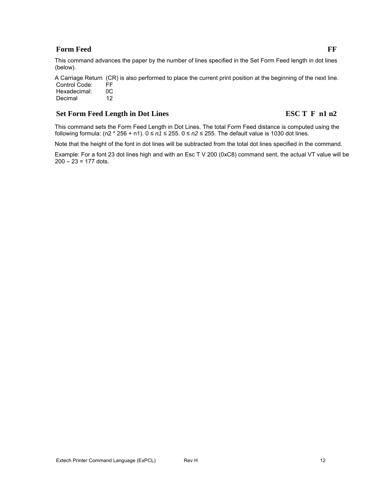## **Form Feed FF Form Feed**

A Carriage Return (CR) is also performed to place the current print position at the beginning of the next line. Control Code: FF<br>Hexadecimal: 0C

Hexadecimal: 0C<br>Decimal 12 Decimal

## **Set Form Feed Length in Dot Lines ESC T F n1 n2**

This command sets the Form Feed Length in Dot Lines. The total Form Feed distance is computed using the following formula: (n2 \* 256 + n1). 0 ≤ *n1* ≤ 255. 0 ≤ *n2* ≤ 255. The default value is 1030 dot lines.

Note that the height of the font in dot lines will be subtracted from the total dot lines specified in the command.

Example: For a font 23 dot lines high and with an Esc T V 200 (0xC8) command sent, the actual VT value will be  $200 - 23 = 177$  dots.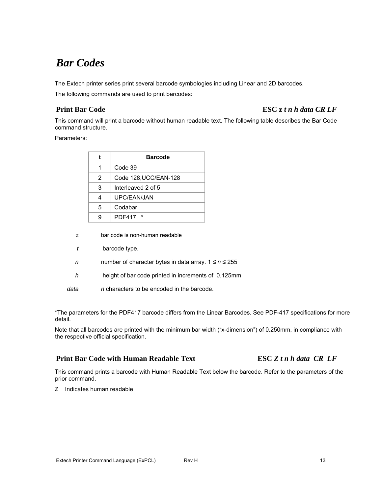## *Bar Codes*

The Extech printer series print several barcode symbologies including Linear and 2D barcodes.

The following commands are used to print barcodes:

## **Print Bar Code ESC z** *t n h data CR LF*

This command will print a barcode without human readable text. The following table describes the Bar Code command structure.

#### Parameters:

|   | <b>Barcode</b>        |
|---|-----------------------|
|   | Code 39               |
| 2 | Code 128, UCC/EAN-128 |
| 3 | Interleaved 2 of 5    |
| 4 | UPC/FAN/JAN           |
| 5 | Codabar               |
| g | PDF417 *              |

- z bar code is non-human readable
- *t* barcode type.
- *n* number of character bytes in data array. 1 ≤ *n* ≤ 255
- *h* height of bar code printed in increments of 0.125mm
- *data n* characters to be encoded in the barcode.

\*The parameters for the PDF417 barcode differs from the Linear Barcodes. See PDF-417 specifications for more detail.

Note that all barcodes are printed with the minimum bar width ("x-dimension") of 0.250mm, in compliance with the respective official specification.

## **Print Bar Code with Human Readable Text ESC** *Z t n h data CR LF*

This command prints a barcode with Human Readable Text below the barcode. Refer to the parameters of the prior command.

Z Indicates human readable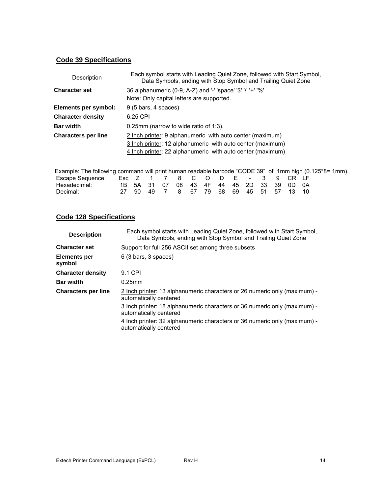## **Code 39 Specifications**

| Description                | Each symbol starts with Leading Quiet Zone, followed with Start Symbol,<br>Data Symbols, ending with Stop Symbol and Trailing Quiet Zone |
|----------------------------|------------------------------------------------------------------------------------------------------------------------------------------|
| <b>Character set</b>       | 36 alphanumeric (0-9, A-Z) and '-' 'space' '\$' '/' '+' '%'<br>Note: Only capital letters are supported.                                 |
| Elements per symbol:       | $9(5 \text{ bars}, 4 \text{ spaces})$                                                                                                    |
| <b>Character density</b>   | 6.25 CPI                                                                                                                                 |
| <b>Bar width</b>           | 0.25mm (narrow to wide ratio of 1:3).                                                                                                    |
| <b>Characters per line</b> | 2 Inch printer: 9 alphanumeric with auto center (maximum)                                                                                |
|                            | 3 Inch printer: 12 alphanumeric with auto center (maximum)                                                                               |
|                            | 4 Inch printer: 22 alphanumeric with auto center (maximum)                                                                               |

| Example: The following command will print human readable barcode "CODE 39" of 1mm high (0.125*8= 1mm). |  |  |                                           |  |  |  |  |  |
|--------------------------------------------------------------------------------------------------------|--|--|-------------------------------------------|--|--|--|--|--|
| Escape Sequence: Esc Z 1 7 8 C O D E - 3 9 CR LF                                                       |  |  |                                           |  |  |  |  |  |
| Hexadecimal:                                                                                           |  |  | 1B 5A 31 07 08 43 4F 44 45 2D 33 39 0D 0A |  |  |  |  |  |
| Decimal:                                                                                               |  |  | 27 90 49 7 8 67 79 68 69 45 51 57 13 10   |  |  |  |  |  |

## **Code 128 Specifications**

| <b>Description</b>            | Each symbol starts with Leading Quiet Zone, followed with Start Symbol,<br>Data Symbols, ending with Stop Symbol and Trailing Quiet Zone |
|-------------------------------|------------------------------------------------------------------------------------------------------------------------------------------|
| <b>Character set</b>          | Support for full 256 ASCII set among three subsets                                                                                       |
| <b>Elements per</b><br>symbol | $6(3 \text{ bars}, 3 \text{ spaces})$                                                                                                    |
| <b>Character density</b>      | 9.1 CPI                                                                                                                                  |
| <b>Bar width</b>              | $0.25$ mm                                                                                                                                |
| <b>Characters per line</b>    | 2 Inch printer: 13 alphanumeric characters or 26 numeric only (maximum) -<br>automatically centered                                      |
|                               | 3 Inch printer: 18 alphanumeric characters or 36 numeric only (maximum) -<br>automatically centered                                      |
|                               | 4 Inch printer: 32 alphanumeric characters or 36 numeric only (maximum) -<br>automatically centered                                      |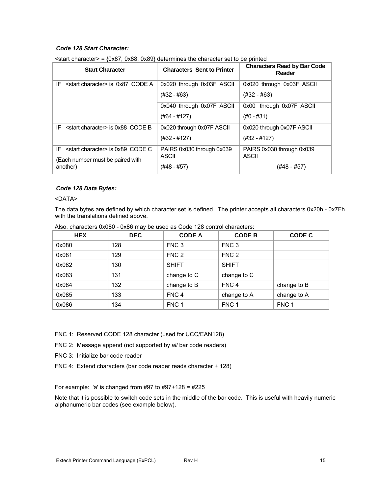### *Code 128 Start Character:*

| <b>Start Character</b>                                                                            | <b>Characters Sent to Printer</b>                        | <b>Characters Read by Bar Code</b><br>Reader             |
|---------------------------------------------------------------------------------------------------|----------------------------------------------------------|----------------------------------------------------------|
| IF $\le$ start character > is 0x87 CODE A                                                         | 0x020 through 0x03F ASCII<br>(#32 - #63)                 | 0x020 through 0x03F ASCII<br>(#32 - #63)                 |
|                                                                                                   | 0x040 through 0x07F ASCII<br>(#64 - #127)                | 0x00 through 0x07F ASCII<br>(#0 - #31)                   |
| <start character=""> is 0x88 CODE B<br/>IF</start>                                                | 0x020 through 0x07F ASCII<br>(#32 - #127)                | 0x020 through 0x07F ASCII<br>$(#32 - #127)$              |
| $IF$ $\leq$ start character $\geq$ is 0x89 CODE C<br>(Each number must be paired with<br>another) | PAIRS 0x030 through 0x039<br><b>ASCII</b><br>(#48 - #57) | PAIRS 0x030 through 0x039<br><b>ASCII</b><br>(#48 - #57) |

 $\le$ start character> = {0x87, 0x88, 0x89} determines the character set to be printed

#### *Code 128 Data Bytes:*

#### <DATA>

The data bytes are defined by which character set is defined. The printer accepts all characters 0x20h - 0x7Fh with the translations defined above.

| <b>HEX</b> | <b>DEC</b> | <b>CODE A</b>    | <b>CODE B</b>    | CODE C           |
|------------|------------|------------------|------------------|------------------|
| 0x080      | 128        | FNC <sub>3</sub> | FNC <sub>3</sub> |                  |
| 0x081      | 129        | FNC <sub>2</sub> | FNC <sub>2</sub> |                  |
| 0x082      | 130        | <b>SHIFT</b>     | <b>SHIFT</b>     |                  |
| 0x083      | 131        | change to C      | change to C      |                  |
| 0x084      | 132        | change to B      | FNC <sub>4</sub> | change to B      |
| 0x085      | 133        | FNC <sub>4</sub> | change to A      | change to A      |
| 0x086      | 134        | FNC <sub>1</sub> | FNC 1            | FNC <sub>1</sub> |

Also, characters 0x080 - 0x86 may be used as Code 128 control characters:

FNC 1: Reserved CODE 128 character (used for UCC/EAN128)

FNC 2: Message append (not supported by *all* bar code readers)

FNC 3: Initialize bar code reader

FNC 4: Extend characters (bar code reader reads character + 128)

For example: 'a' is changed from  $\#97$  to  $\#97+128 = \#225$ 

Note that it is possible to switch code sets in the middle of the bar code. This is useful with heavily numeric alphanumeric bar codes (see example below).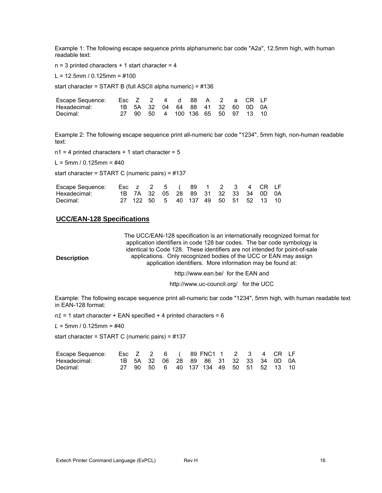Example 1: The following escape sequence prints alphanumeric bar code "A2a", 12.5mm high, with human readable text:

 $n = 3$  printed characters  $+ 1$  start character = 4

 $L = 12.5$ mm / 0.125mm = #100

start character = START B (full ASCII alpha numeric) = #136

| Escape Sequence: Esc Z 2 4 d 88 A 2 a CR LF |  |  |                                   |  |  |  |
|---------------------------------------------|--|--|-----------------------------------|--|--|--|
| Hexadecimal:                                |  |  | 1B 5A 32 04 64 88 41 32 60 0D 0A  |  |  |  |
| Decimal:                                    |  |  | 27 90 50 4 100 136 65 50 97 13 10 |  |  |  |

Example 2: The following escape sequence print all-numeric bar code "1234", 5mm high, non-human readable text:

 $n1 = 4$  printed characters + 1 start character = 5

 $L = 5$ mm / 0.125mm = #40

start character = START C (numeric pairs) = #137

| Escape Sequence: Esc z 2 5 (89 1 2 3 4 CR LF |  |  |                                      |  |  |  |
|----------------------------------------------|--|--|--------------------------------------|--|--|--|
| Hexadecimal:                                 |  |  | 1B 7A 32 05 28 89 31 32 33 34 0D 0A  |  |  |  |
| Decimal:                                     |  |  | 27 122 50 5 40 137 49 50 51 52 13 10 |  |  |  |

### **UCC/EAN-128 Specifications**

|                    | The UCC/EAN-128 specification is an internationally recognized format for   |
|--------------------|-----------------------------------------------------------------------------|
|                    | application identifiers in code 128 bar codes. The bar code symbology is    |
|                    | identical to Code 128. These identifiers are not intended for point-of-sale |
| <b>Description</b> | applications. Only recognized bodies of the UCC or EAN may assign           |
|                    | application identifiers. More information may be found at:                  |
|                    |                                                                             |

http://www.ean.be/ for the EAN and

http://www.uc-council.org/ for the UCC

Example: The following escape sequence print all-numeric bar code "1234", 5mm high, with human readable text in EAN-128 format:

 $n1 = 1$  start character + EAN specified + 4 printed characters = 6

*L* = 5mm / 0.125mm = #40

start character = START C (numeric pairs) = #137

| Escape Sequence: Esc Z 2 6 (89 FNC1 1 2 3 4 CR LF |  |  |  |                                         |  |  |  |
|---------------------------------------------------|--|--|--|-----------------------------------------|--|--|--|
| Hexadecimal:                                      |  |  |  | 1B 5A 32 06 28 89 86 31 32 33 34 0D 0A  |  |  |  |
| Decimal:                                          |  |  |  | 27 90 50 6 40 137 134 49 50 51 52 13 10 |  |  |  |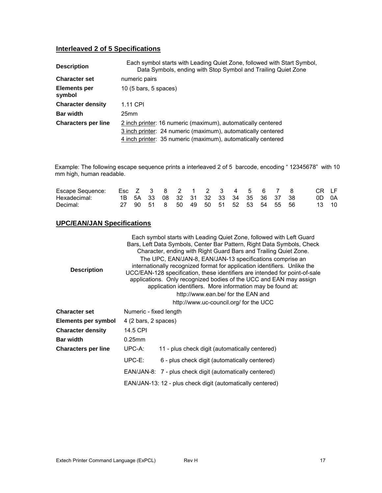## **Interleaved 2 of 5 Specifications**

| <b>Description</b>         | Each symbol starts with Leading Quiet Zone, followed with Start Symbol,<br>Data Symbols, ending with Stop Symbol and Trailing Quiet Zone |
|----------------------------|------------------------------------------------------------------------------------------------------------------------------------------|
| <b>Character set</b>       | numeric pairs                                                                                                                            |
| Elements per<br>symbol     | $10(5 \text{ bars}, 5 \text{ spaces})$                                                                                                   |
| <b>Character density</b>   | 1.11 CPI                                                                                                                                 |
| <b>Bar width</b>           | 25mm                                                                                                                                     |
| <b>Characters per line</b> | 2 inch printer: 16 numeric (maximum), automatically centered                                                                             |
|                            | 3 inch printer: 24 numeric (maximum), automatically centered                                                                             |
|                            | 4 inch printer: 35 numeric (maximum), automatically centered                                                                             |

Example: The following escape sequence prints a interleaved 2 of 5 barcode, encoding " 12345678" with 10 mm high, human readable.

| Escape Sequence: |  |  |  | Fsc 7 3 8 2 1 2 3 4 5 6 7 8            |  |  |  | CR IF |
|------------------|--|--|--|----------------------------------------|--|--|--|-------|
| Hexadecimal:     |  |  |  | 1B 5A 33 08 32 31 32 33 34 35 36 37 38 |  |  |  | 0D 0A |
| Decimal:         |  |  |  | 27 90 51 8 50 49 50 51 52 53 54 55 56  |  |  |  | 13 10 |

## **UPC/EAN/JAN Specifications**

| <b>Description</b>  | Each symbol starts with Leading Quiet Zone, followed with Left Guard<br>Bars, Left Data Symbols, Center Bar Pattern, Right Data Symbols, Check<br>Character, ending with Right Guard Bars and Trailing Quiet Zone.<br>The UPC, EAN/JAN-8, EAN/JAN-13 specifications comprise an<br>internationally recognized format for application identifiers. Unlike the<br>UCC/EAN-128 specification, these identifiers are intended for point-of-sale<br>applications. Only recognized bodies of the UCC and EAN may assign<br>application identifiers. More information may be found at:<br>http://www.ean.be/ for the EAN and<br>http://www.uc-council.org/ for the UCC |
|---------------------|-----------------------------------------------------------------------------------------------------------------------------------------------------------------------------------------------------------------------------------------------------------------------------------------------------------------------------------------------------------------------------------------------------------------------------------------------------------------------------------------------------------------------------------------------------------------------------------------------------------------------------------------------------------------|
| Character set       | Numeric - fixed length                                                                                                                                                                                                                                                                                                                                                                                                                                                                                                                                                                                                                                          |
| Elements per symbol | 4 (2 bars, 2 spaces)                                                                                                                                                                                                                                                                                                                                                                                                                                                                                                                                                                                                                                            |
| Character density   | 14.5 CPI                                                                                                                                                                                                                                                                                                                                                                                                                                                                                                                                                                                                                                                        |
| Bar width           | $0.25$ mm                                                                                                                                                                                                                                                                                                                                                                                                                                                                                                                                                                                                                                                       |
| Characters per line | UPC-A:<br>11 - plus check digit (automatically centered)                                                                                                                                                                                                                                                                                                                                                                                                                                                                                                                                                                                                        |
|                     | UPC-E:<br>6 - plus check digit (automatically centered)                                                                                                                                                                                                                                                                                                                                                                                                                                                                                                                                                                                                         |
|                     | EAN/JAN-8: 7 - plus check digit (automatically centered)                                                                                                                                                                                                                                                                                                                                                                                                                                                                                                                                                                                                        |
|                     | EAN/JAN-13: 12 - plus check digit (automatically centered)                                                                                                                                                                                                                                                                                                                                                                                                                                                                                                                                                                                                      |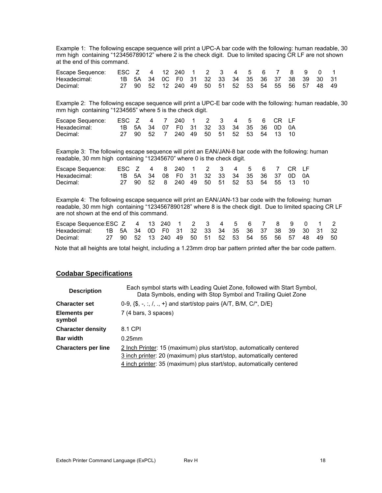Example 1: The following escape sequence will print a UPC-A bar code with the following: human readable, 30 mm high containing "123456789012" where 2 is the check digit. Due to limited spacing CR LF are not shown at the end of this command.

| Escape Sequence: | ESC Z 4 12 240 1 2 3 4 5 6 7 8 9 0 1 |  |                                                  |  |  |  |  |  |  |
|------------------|--------------------------------------|--|--------------------------------------------------|--|--|--|--|--|--|
| Hexadecimal:     |                                      |  | 1B 5A 34 OC F0 31 32 33 34 35 36 37 38 39 30 31  |  |  |  |  |  |  |
| Decimal:         |                                      |  | 27 90 52 12 240 49 50 51 52 53 54 55 56 57 48 49 |  |  |  |  |  |  |

Example 2: The following escape sequence will print a UPC-E bar code with the following: human readable, 30 mm high containing "1234565" where 5 is the check digit.

| Escape Sequence: ESC Z 4 7 240 1 2 3 4 5 6 CR LF |  |  |                                        |  |  |  |  |
|--------------------------------------------------|--|--|----------------------------------------|--|--|--|--|
| Hexadecimal:                                     |  |  | 1B 5A 34 07 F0 31 32 33 34 35 36 0D 0A |  |  |  |  |
| Decimal:                                         |  |  | 27 90 52 7 240 49 50 51 52 53 54 13 10 |  |  |  |  |

Example 3: The following escape sequence will print an EAN/JAN-8 bar code with the following: human readable, 30 mm high containing "12345670" where 0 is the check digit.

| Escape Sequence: ESC Z 4 8 240 1 2 3 4 5 6 7 CR LF |  |  |                                           |  |  |  |  |  |
|----------------------------------------------------|--|--|-------------------------------------------|--|--|--|--|--|
| Hexadecimal:                                       |  |  | 1B 5A 34 08 F0 31 32 33 34 35 36 37 0D 0A |  |  |  |  |  |
| Decimal:                                           |  |  | 27 90 52 8 240 49 50 51 52 53 54 55 13 10 |  |  |  |  |  |

Example 4: The following escape sequence will print an EAN/JAN-13 bar code with the following: human readable, 30 mm high containing "1234567890128" where 8 is the check digit. Due to limited spacing CR LF are not shown at the end of this command.

| Escape Sequence: ESC Z 4 13 240 1 2 3 4 5 6 7 8 9 0 1 2         |  |  |                                                     |  |  |  |  |  |  |
|-----------------------------------------------------------------|--|--|-----------------------------------------------------|--|--|--|--|--|--|
| Hexadecimal: 1B 5A 34 0D F0 31 32 33 34 35 36 37 38 39 30 31 32 |  |  |                                                     |  |  |  |  |  |  |
| Decimal:                                                        |  |  | 27 90 52 13 240 49 50 51 52 53 54 55 56 57 48 49 50 |  |  |  |  |  |  |

Note that all heights are total height, including a 1.23mm drop bar pattern printed after the bar code pattern.

#### **Codabar Specifications**

| <b>Description</b>            | Each symbol starts with Leading Quiet Zone, followed with Start Symbol,<br>Data Symbols, ending with Stop Symbol and Trailing Quiet Zone |
|-------------------------------|------------------------------------------------------------------------------------------------------------------------------------------|
| <b>Character set</b>          | 0-9, $\{\$\,$ , -, :, $\frac{1}{1}$ , ., + and start/stop pairs $\{A/T, B/M, C\}^*$ , D/E $\}$                                           |
| <b>Elements per</b><br>symbol | 7 (4 bars, 3 spaces)                                                                                                                     |
| <b>Character density</b>      | 8.1 CPI                                                                                                                                  |
| <b>Bar width</b>              | $0.25$ mm                                                                                                                                |
| <b>Characters per line</b>    | 2 Inch Printer: 15 (maximum) plus start/stop, automatically centered                                                                     |
|                               | 3 inch printer: 20 (maximum) plus start/stop, automatically centered                                                                     |
|                               | 4 inch printer: 35 (maximum) plus start/stop, automatically centered                                                                     |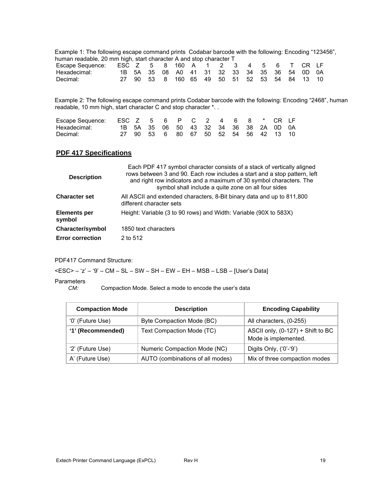Example 1: The following escape command prints Codabar barcode with the following: Encoding "123456", human readable, 20 mm high, start character A and stop character T<br>Escape Sequence: ESC Z 5 8 160 A 1 2 3 Escape Sequence: ESC Z 5 8 160 A 1 2 3 4 5 6 T CR LF<br>Hexadecimal: 1B 5A 35 08 A0 41 31 32 33 34 35 36 54 0D 0A Hexadecimal: 1B 5A 35 08 A0 41 31 32 33 34 35 36 54 0D 0A Decimal: 27 90 53 8 160 65 49 50 51 52 53 54 84 13 10

Example 2: The following escape command prints Codabar barcode with the following: Encoding "2468", human readable, 10 mm high, start character C and stop character \*. .

| Escape Sequence: ESC Z 5 6 P C 2 4 6 8 * CR LF |  |  |  |  |  |                                        |  |
|------------------------------------------------|--|--|--|--|--|----------------------------------------|--|
| Hexadecimal:                                   |  |  |  |  |  | 1B 5A 35 06 50 43 32 34 36 38 2A 0D 0A |  |
| Decimal:                                       |  |  |  |  |  | 27 90 53 6 80 67 50 52 54 56 42 13 10  |  |

## **PDF 417 Specifications**

| <b>Description</b>            | Each PDF 417 symbol character consists of a stack of vertically aligned<br>rows between 3 and 90. Each row includes a start and a stop pattern, left<br>and right row indicators and a maximum of 30 symbol characters. The<br>symbol shall include a quite zone on all four sides |
|-------------------------------|------------------------------------------------------------------------------------------------------------------------------------------------------------------------------------------------------------------------------------------------------------------------------------|
| <b>Character set</b>          | All ASCII and extended characters, 8-Bit binary data and up to 811,800<br>different character sets                                                                                                                                                                                 |
| <b>Elements per</b><br>symbol | Height: Variable (3 to 90 rows) and Width: Variable (90X to 583X)                                                                                                                                                                                                                  |
| <b>Character/symbol</b>       | 1850 text characters                                                                                                                                                                                                                                                               |
| <b>Error correction</b>       | 2 to 512                                                                                                                                                                                                                                                                           |

PDF417 Command Structure:

 $\epsilon$ ESC> – 'z' – '9' – CM – SL – SW – SH – EW – EH – MSB – LSB – [User's Data]

## Parameters<br>CM:

Compaction Mode. Select a mode to encode the user's data

| <b>Compaction Mode</b> | <b>Description</b>               | <b>Encoding Capability</b>                                |
|------------------------|----------------------------------|-----------------------------------------------------------|
| '0' (Future Use)       | Byte Compaction Mode (BC)        | All characters, (0-255)                                   |
| '1' (Recommended)      | Text Compaction Mode (TC)        | ASCII only, (0-127) + Shift to BC<br>Mode is implemented. |
| '2' (Future Use)       | Numeric Compaction Mode (NC)     | Digits Only, ('0'-'9')                                    |
| A' (Future Use)        | AUTO (combinations of all modes) | Mix of three compaction modes                             |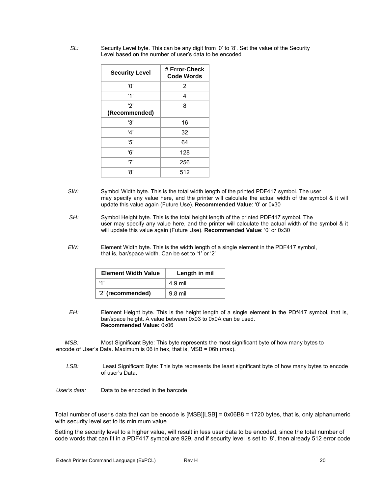*SL:* Security Level byte. This can be any digit from '0' to '8'. Set the value of the Security Level based on the number of user's data to be encoded

| <b>Security Level</b> | # Error-Check<br><b>Code Words</b> |
|-----------------------|------------------------------------|
| 'Ο'                   | 2                                  |
| $^{\prime}$ 1'        | 4                                  |
| '2'                   | 8                                  |
| (Recommended)         |                                    |
| '3'                   | 16                                 |
| '4'                   | 32                                 |
| '5'                   | 64                                 |
| '6'                   | 128                                |
| '7'                   | 256                                |
| '৪'                   | 512                                |

- SW: Symbol Width byte. This is the total width length of the printed PDF417 symbol. The user may specify any value here, and the printer will calculate the actual width of the symbol & it will update this value again (Future Use). **Recommended Value**: '0' or 0x30
- *SH:* Symbol Height byte. This is the total height length of the printed PDF417 symbol. The user may specify any value here, and the printer will calculate the actual width of the symbol & it will update this value again (Future Use). **Recommended Value**: '0' or 0x30
- *EW:* Element Width byte. This is the width length of a single element in the PDF417 symbol, that is, bar/space width. Can be set to '1' or '2'

| <b>Element Width Value</b> | Length in mil |
|----------------------------|---------------|
| ۰. ۱                       | 4.9 mil       |
| '2' (recommended)          | $9.8$ mil     |

*EH:* Element Height byte. This is the height length of a single element in the PDf417 symbol, that is, bar/space height. A value between 0x03 to 0x0A can be used. **Recommended Value:** 0x06

*MSB:*Most Significant Byte: This byte represents the most significant byte of how many bytes to encode of User's Data. Maximum is 06 in hex, that is, MSB = 06h (max).

- *LSB:* Least Significant Byte: This byte represents the least significant byte of how many bytes to encode of user's Data.
- *User's data:* Data to be encoded in the barcode

Total number of user's data that can be encode is [MSB][LSB] = 0x06B8 = 1720 bytes, that is, only alphanumeric with security level set to its minimum value.

Setting the security level to a higher value, will result in less user data to be encoded, since the total number of code words that can fit in a PDF417 symbol are 929, and if security level is set to '8', then already 512 error code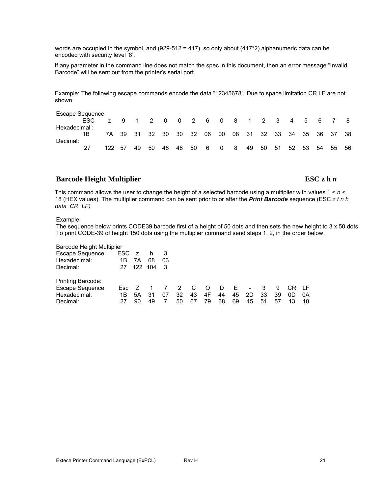words are occupied in the symbol, and (929-512 = 417), so only about (417\*2) alphanumeric data can be encoded with security level '8'.

If any parameter in the command line does not match the spec in this document, then an error message "Invalid Barcode" will be sent out from the printer's serial port.

Example: The following escape commands encode the data "12345678". Due to space limitation CR LF are not shown

| Escape Sequence: |      |     |      |    |                                 |    |    |      |     |                          |     |    |    |    |     |                            |       |      |
|------------------|------|-----|------|----|---------------------------------|----|----|------|-----|--------------------------|-----|----|----|----|-----|----------------------------|-------|------|
|                  | ESC. | Z   |      |    | 9 1 2 0 0 2 6 0 8 1 2 3 4 5 6 7 |    |    |      |     |                          |     |    |    |    |     |                            |       | -8   |
| Hexadecimal:     |      |     |      |    |                                 |    |    |      |     |                          |     |    |    |    |     |                            |       |      |
|                  |      |     |      |    | 7A 39 31 32 30 30 32 06 00      |    |    |      |     |                          |     |    |    |    |     | 08 31 32 33 34 35 36 37 38 |       |      |
| Decimal:         |      |     |      |    |                                 |    |    |      |     |                          |     |    |    |    |     |                            |       |      |
|                  |      | 122 | - 57 | 49 | 50                              | 48 | 48 | - 50 | - 6 | $\overline{\phantom{0}}$ | - 8 | 49 | 50 | 51 | -52 | -53                        | 54 55 | - 56 |

## **Barcode Height Multiplier** ESC z h *n*

This command allows the user to change the height of a selected barcode using a multiplier with values 1 < *n* < 18 (HEX values). The multiplier command can be sent prior to or after the *Print Barcode* sequence (ESC *z t n h data CR LF)*

#### Example:

The sequence below prints CODE39 barcode first of a height of 50 dots and then sets the new height to 3 x 50 dots. To print CODE-39 of height 150 dots using the multiplier command send steps 1, 2, in the order below.

Barcode Height Multiplier

| Escape Sequence:  | ESC z |    | h 3     |     |                            |                |           |    |     |                         |    |    |       |     |
|-------------------|-------|----|---------|-----|----------------------------|----------------|-----------|----|-----|-------------------------|----|----|-------|-----|
| Hexadecimal:      | 1B    | 7A | 68      | 03  |                            |                |           |    |     |                         |    |    |       |     |
| Decimal:          | 27    |    | 122 104 | - 3 |                            |                |           |    |     |                         |    |    |       |     |
| Printing Barcode: |       |    |         |     |                            |                |           |    |     |                         |    |    |       |     |
| Escape Sequence:  | Esc Z |    |         |     | $\overline{\phantom{a}}$ 2 | $\overline{C}$ | $\circ$ O | D. | - F | $\sim 100$ km s $^{-1}$ | 3  | 9  | CR LF |     |
| Hexadecimal:      | 1B.   | 5A | 31      | 07  | 32                         | 43             | 4F        | 44 | 45  | 2D                      | 33 | 39 | 0D    | -0A |
| Decimal:          | 27    | 90 | 49      |     | 50                         | 67             | 79        | 68 | 69  | 45                      | 51 | 57 |       | 10  |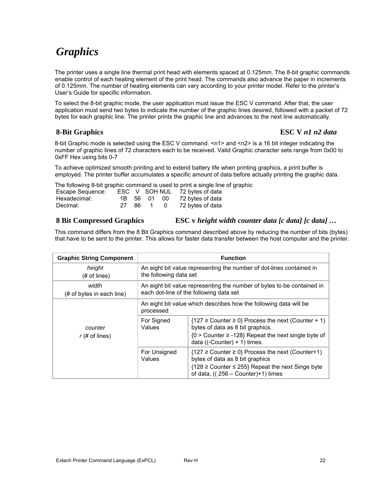## *Graphics*

The printer uses a single line thermal print head with elements spaced at 0.125mm. The 8-bit graphic commands enable control of each heating element of the print head. The commands also advance the paper in increments of 0.125mm. The number of heating elements can vary according to your printer model. Refer to the printer's User's Guide for specific information.

To select the 8-bit graphic mode, the user application must issue the ESC V command. After that, the user application must send two bytes to indicate the number of the graphic lines desired, followed with a packet of 72 bytes for each graphic line. The printer prints the graphic line and advances to the next line automatically.

## **8-Bit Graphics ESC V** *n1 n2 data*

8-bit Graphic mode is selected using the ESC V command. <n1> and <n2> is a 16 bit integer indicating the number of graphic lines of 72 characters each to be received. Valid Graphic character sets range from 0x00 to 0xFF Hex using bits 0-7

To achieve optimized smooth printing and to extend battery life when printing graphics, a print buffer is employed. The printer buffer accumulates a specific amount of data before actually printing the graphic data.

The following 8-bit graphic command is used to print a single line of graphic<br>Escape Sequence: ESC, V, SOH NUL 72 bytes of data ESC V SOH NUL

| Loupe ocquerior. |       |             |     |                  |
|------------------|-------|-------------|-----|------------------|
| Hexadecimal:     |       | 1B 56 01 00 |     | 72 bytes of data |
| Decimal:         | 27 86 |             | . O | 72 bytes of data |

## **8 Bit Compressed Graphics ESC v** *height width counter data [c data] [c data] …*

This command differs from the 8 Bit Graphics command described above by reducing the number of bits (bytes) that have to be sent to the printer. This allows for faster data transfer between the host computer and the printer.

| <b>Graphic String Component</b>    |                                                                                                                   | <b>Function</b>                                                                                                                                                                                       |  |  |  |  |  |
|------------------------------------|-------------------------------------------------------------------------------------------------------------------|-------------------------------------------------------------------------------------------------------------------------------------------------------------------------------------------------------|--|--|--|--|--|
| height<br>$#$ of lines)            | An eight bit value representing the number of dot-lines contained in<br>the following data set                    |                                                                                                                                                                                                       |  |  |  |  |  |
| width<br>(# of bytes in each line) | An eight bit value representing the number of bytes to be contained in<br>each dot-line of the following data set |                                                                                                                                                                                                       |  |  |  |  |  |
|                                    | An eight bit value which describes how the following data will be<br>processed                                    |                                                                                                                                                                                                       |  |  |  |  |  |
| counter<br>$r$ (# of lines)        | For Signed<br>Values                                                                                              | ${127 \geq$ Counter $\geq$ 0} Process the next (Counter + 1)<br>bytes of data as 8 bit graphics.<br>${0 >$ Counter $\ge$ -128} Repeat the next single byte of<br>data ( $(-$ Counter $) + 1$ ) times. |  |  |  |  |  |
|                                    | For Unsigned<br>Values                                                                                            | ${127 \geq$ Counter $\geq$ 0} Process the next (Counter+1)<br>bytes of data as 8 bit graphics<br>{128 ≥ Counter ≤ 255} Repeat the next Singe byte<br>of data, $((256 - Counter)+1)$ times             |  |  |  |  |  |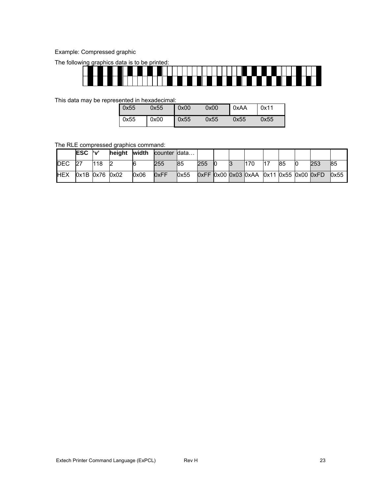## Example: Compressed graphic

The following graphics data is to be printed:



This data may be represented in hexadecimal:

| 0x55 | 0x55 | $\sim 000$ | 0x00 | 0xAA | $\vert$ 0x11 |
|------|------|------------|------|------|--------------|
| 0x55 | 0x00 | 0x55       | 0x55 | 0x55 | 0x55         |

#### The RLE compressed graphics command:

|             | <b>ESC</b>     | ľ۷' | heiaht | width | counter Idata |       |     |  |                                         |    |     |      |
|-------------|----------------|-----|--------|-------|---------------|-------|-----|--|-----------------------------------------|----|-----|------|
| <b>IDEC</b> | 27             | 118 |        |       | 255           | 85    | 255 |  | 170                                     | 85 | 253 | 85   |
| <b>IHEX</b> | 0x1B 0x76 0x02 |     |        | 0x06  | 0xFF          | l0x55 |     |  | 0xFF 0x00 0x03 0xAA 0x11 0x55 0x00 0xFD |    |     | 0x55 |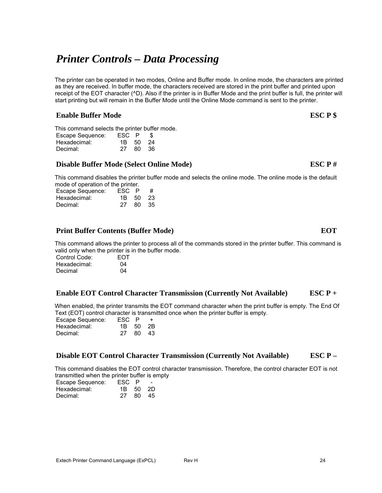# *Printer Controls – Data Processing*

The printer can be operated in two modes, Online and Buffer mode. In online mode, the characters are printed as they are received. In buffer mode, the characters received are stored in the print buffer and printed upon receipt of the EOT character (^D). Also if the printer is in Buffer Mode and the print buffer is full, the printer will start printing but will remain in the Buffer Mode until the Online Mode command is sent to the printer.

## **Enable Buffer Mode** ESC P \$

This command selects the printer buffer mode.

| Escape Sequence: | ESC P    | SБ    |  |
|------------------|----------|-------|--|
| Hexadecimal:     | 1B 50 24 |       |  |
| Decimal:         | 27       | 80 36 |  |

## **Disable Buffer Mode (Select Online Mode) ESC P #**

This command disables the printer buffer mode and selects the online mode. The online mode is the default mode of operation of the printer.

| Escape Sequence: | ESC P    |       | # |
|------------------|----------|-------|---|
| Hexadecimal:     | 1B 50 23 |       |   |
| Decimal:         | 27       | 80 35 |   |

## **Print Buffer Contents (Buffer Mode) EOT**

This command allows the printer to process all of the commands stored in the printer buffer. This command is valid only when the printer is in the buffer mode.

| Control Code: | <b>EOT</b> |
|---------------|------------|
| Hexadecimal:  | 04         |
| Decimal       | 04         |

## **Enable EOT Control Character Transmission (Currently Not Available) ESC P +**

When enabled, the printer transmits the EOT command character when the print buffer is empty. The End Of Text (EOT) control character is transmitted once when the printer buffer is empty.

| Escape Sequence: | ESC P    |       |  |
|------------------|----------|-------|--|
| Hexadecimal:     | 1B 50 2B |       |  |
| Decimal:         | 27.      | 80 43 |  |

## **Disable EOT Control Character Transmission (Currently Not Available) ESC P –**

This command disables the EOT control character transmission. Therefore, the control character EOT is not transmitted when the printer buffer is empty

| Escape Sequence: | ESC P    |      | $\overline{\phantom{0}}$ |
|------------------|----------|------|--------------------------|
| Hexadecimal:     | 1B 50 2D |      |                          |
| Decimal:         | 27.      | - 80 | -45                      |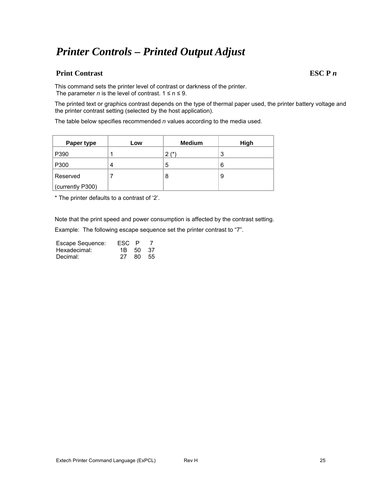## *Printer Controls – Printed Output Adjust*

## **Print Contrast ESC P** *n*

This command sets the printer level of contrast or darkness of the printer. The parameter *n* is the level of contrast.  $1 \le n \le 9$ .

The printed text or graphics contrast depends on the type of thermal paper used, the printer battery voltage and the printer contrast setting (selected by the host application).

The table below specifies recommended *n* values according to the media used.

| Paper type       | Low | <b>Medium</b> | High |
|------------------|-----|---------------|------|
| P390             |     | $2$ (*)       | 3    |
| P300             | 4   | 5             | 6    |
| Reserved         |     | 8             | 9    |
| (currently P300) |     |               |      |

\* The printer defaults to a contrast of '2'.

Note that the print speed and power consumption is affected by the contrast setting.

Example: The following escape sequence set the printer contrast to "7".

| Escape Sequence: | ESC P    |       |
|------------------|----------|-------|
| Hexadecimal:     | 1B 50 37 |       |
| Decimal:         | 27       | 80 55 |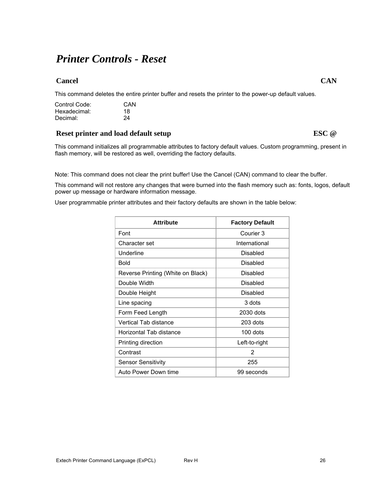## *Printer Controls - Reset*

## **Cancel** Cancel CAN **CAN**

This command deletes the entire printer buffer and resets the printer to the power-up default values.

| Control Code: | CAN |
|---------------|-----|
| Hexadecimal:  | 18  |
| Decimal:      | 24  |

## **Reset printer and load default setup ESC @ ESC @**

This command initializes all programmable attributes to factory default values. Custom programming, present in flash memory, will be restored as well, overriding the factory defaults.

Note: This command does not clear the print buffer! Use the Cancel (CAN) command to clear the buffer.

This command will not restore any changes that were burned into the flash memory such as: fonts, logos, default power up message or hardware information message.

User programmable printer attributes and their factory defaults are shown in the table below:

| <b>Attribute</b>                  | <b>Factory Default</b> |
|-----------------------------------|------------------------|
| Font                              | Courier 3              |
| Character set                     | International          |
| Underline                         | Disabled               |
| Bold                              | Disabled               |
| Reverse Printing (White on Black) | Disabled               |
| Double Width                      | Disabled               |
| Double Height                     | Disabled               |
| Line spacing                      | 3 dots                 |
| Form Feed Length                  | 2030 dots              |
| Vertical Tab distance             | $203$ dots             |
| Horizontal Tab distance           | 100 dots               |
| Printing direction                | Left-to-right          |
| Contrast                          | 2                      |
| <b>Sensor Sensitivity</b>         | 255                    |
| Auto Power Down time              | 99 seconds             |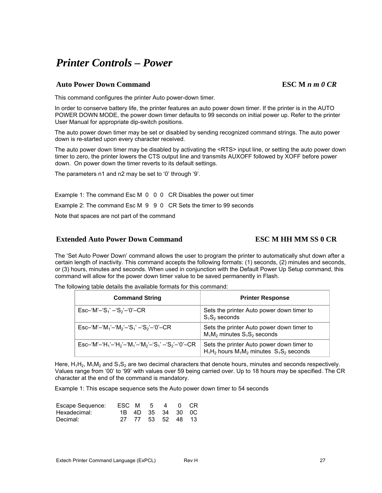# *Printer Controls – Power*

## **Auto Power Down Command ESC M** *n m 0 CR*

This command configures the printer Auto power-down timer.

In order to conserve battery life, the printer features an auto power down timer. If the printer is in the AUTO POWER DOWN MODE, the power down timer defaults to 99 seconds on initial power up. Refer to the printer User Manual for appropriate dip-switch positions.

The auto power down timer may be set or disabled by sending recognized command strings. The auto power down is re-started upon every character received.

The auto power down timer may be disabled by activating the <RTS> input line, or setting the auto power down timer to zero, the printer lowers the CTS output line and transmits AUXOFF followed by XOFF before power down. On power down the timer reverts to its default settings.

The parameters n1 and n2 may be set to '0' through '9'.

Example 1: The command Esc M 0 0 0 CR Disables the power out timer

Example 2: The command Esc M 9 9 0 CR Sets the timer to 99 seconds

Note that spaces are not part of the command

## **Extended Auto Power Down Command ESC M HH MM SS 0 CR**

The 'Set Auto Power Down' command allows the user to program the printer to automatically shut down after a certain length of inactivity. This command accepts the following formats: (1) seconds, (2) minutes and seconds, or (3) hours, minutes and seconds. When used in conjunction with the Default Power Up Setup command, this command will allow for the power down timer value to be saved permanently in Flash.

The following table details the available formats for this command:

| <b>Command String</b>                                                                                                                                    | <b>Printer Response</b>                                                                       |
|----------------------------------------------------------------------------------------------------------------------------------------------------------|-----------------------------------------------------------------------------------------------|
| $\mathsf{Esc-}\{M'-S_1\} - S_2 - 0' - \mathsf{CR}$                                                                                                       | Sets the printer Auto power down timer to<br>$S_1S_2$ seconds                                 |
| $\mathsf{Esc}\text{-}'\mathsf{M}'\text{-}'\mathsf{M}_3'\text{-}'\mathsf{M}_2'\text{-}'\mathsf{S}_3'\text{-}'\mathsf{S}_2'\text{-}'0'\text{-}\mathsf{CR}$ | Sets the printer Auto power down timer to<br>$M_1M_2$ minutes $S_1S_2$ seconds                |
| $\mathsf{Esc-}^{\mathsf{f}}\mathsf{M}'-\mathsf{H}'_1-\mathsf{H}'_2-\mathsf{M}'_1-\mathsf{M}'_2-\mathsf{S}'_1-\mathsf{S}'_2-\mathsf{O}'-\mathsf{CR}$      | Sets the printer Auto power down timer to<br>$H_1H_2$ hours $M_1M_2$ minutes $S_1S_2$ seconds |

Here,  $H_1H_2$ ,  $M_1M_2$  and  $S_1S_2$  are two decimal characters that denote hours, minutes and seconds respectively. Values range from '00' to '99' with values over 59 being carried over. Up to 18 hours may be specified. The CR character at the end of the command is mandatory.

Example 1: This escape sequence sets the Auto power down timer to 54 seconds

| Escape Sequence: | ESC M 5 4 0 CR |  |                   |  |
|------------------|----------------|--|-------------------|--|
| Hexadecimal:     |                |  | 1B 4D 35 34 30 0C |  |
| Decimal:         |                |  | 27 77 53 52 48 13 |  |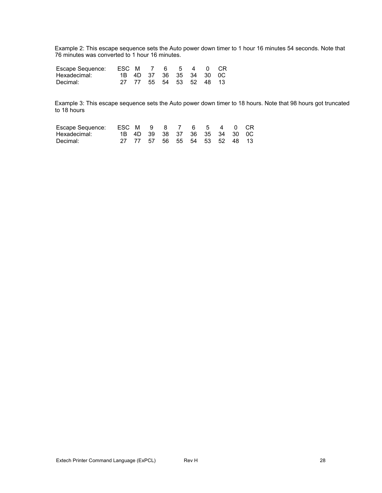Example 2: This escape sequence sets the Auto power down timer to 1 hour 16 minutes 54 seconds. Note that 76 minutes was converted to 1 hour 16 minutes.

| Escape Sequence: ESC M 7 6 5 4 0 CR |  |                         |  |  |  |
|-------------------------------------|--|-------------------------|--|--|--|
| Hexadecimal:                        |  | 1B 4D 37 36 35 34 30 0C |  |  |  |
| Decimal:                            |  | 27 77 55 54 53 52 48 13 |  |  |  |

Example 3: This escape sequence sets the Auto power down timer to 18 hours. Note that 98 hours got truncated to 18 hours

| Escape Sequence: ESC M 9 8 7 6 5 4 0 CR |  |                               |  |  |  |
|-----------------------------------------|--|-------------------------------|--|--|--|
| Hexadecimal:                            |  | 1B 4D 39 38 37 36 35 34 30 0C |  |  |  |
| Decimal:                                |  | 27 77 57 56 55 54 53 52 48 13 |  |  |  |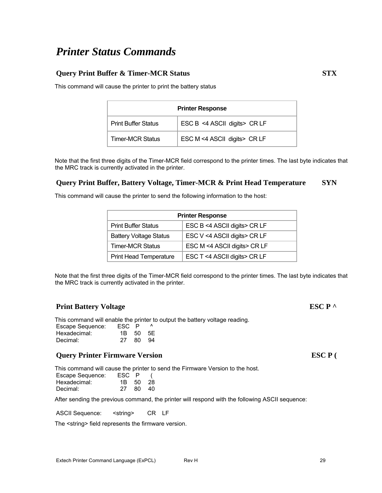## *Printer Status Commands*

## **Query Print Buffer & Timer-MCR Status STX**

This command will cause the printer to print the battery status

| <b>Printer Response</b>    |                              |  |  |  |  |
|----------------------------|------------------------------|--|--|--|--|
| <b>Print Buffer Status</b> | ESC B <4 ASCII digits> CR LF |  |  |  |  |
| <b>Timer-MCR Status</b>    | ESC M <4 ASCII digits> CR LF |  |  |  |  |

Note that the first three digits of the Timer-MCR field correspond to the printer times. The last byte indicates that the MRC track is currently activated in the printer.

### **Query Print Buffer, Battery Voltage, Timer-MCR & Print Head Temperature SYN**

This command will cause the printer to send the following information to the host:

| <b>Printer Response</b>       |                              |  |  |  |  |  |
|-------------------------------|------------------------------|--|--|--|--|--|
| <b>Print Buffer Status</b>    | ESC B <4 ASCII digits> CR LF |  |  |  |  |  |
| <b>Battery Voltage Status</b> | ESC V <4 ASCII digits> CR LF |  |  |  |  |  |
| <b>Timer-MCR Status</b>       | ESC M <4 ASCII digits> CR LF |  |  |  |  |  |
| <b>Print Head Temperature</b> | ESC T <4 ASCII digits> CR LF |  |  |  |  |  |

Note that the first three digits of the Timer-MCR field correspond to the printer times. The last byte indicates that the MRC track is currently activated in the printer.

### **Print Battery Voltage ESC P**  $\wedge$

This command will enable the printer to output the battery voltage reading.

| Escape Sequence: | ESC P    |    |      |
|------------------|----------|----|------|
| Hexadecimal:     | 1B 50 5F |    |      |
| Decimal:         | 27.      | 80 | - 94 |

#### **Query Printer Firmware Version ESC P** (

This command will cause the printer to send the Firmware Version to the host.

| Escape Sequence: | ESC P    |     |     |
|------------------|----------|-----|-----|
| Hexadecimal:     | 1B 50 28 |     |     |
| Decimal:         | 27       | -80 | -40 |

After sending the previous command, the printer will respond with the following ASCII sequence:

ASCII Sequence: < string> CR LF

The <string> field represents the firmware version.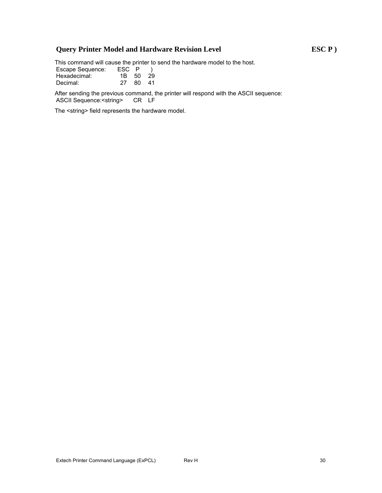## **Query Printer Model and Hardware Revision Level ESC P )**

This command will cause the printer to send the hardware model to the host.

| <b>Escape Sequence:</b> | ESC P    |       |
|-------------------------|----------|-------|
| Hexadecimal:            | 1B 50 29 |       |
| Decimal:                | 27.      | 80 41 |

After sending the previous command, the printer will respond with the ASCII sequence:<br>ASCII Sequence: < string> CR LF ASCII Sequence:<string>

The <string> field represents the hardware model.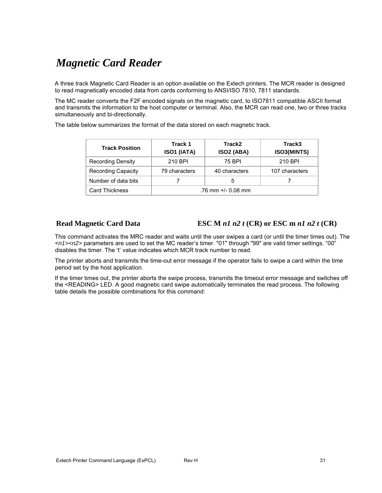## *Magnetic Card Reader*

A three track Magnetic Card Reader is an option available on the Extech printers. The MCR reader is designed to read magnetically encoded data from cards conforming to ANSI/ISO 7810, 7811 standards.

The MC reader converts the F2F encoded signals on the magnetic card, to ISO7811 compatible ASCII format and transmits the information to the host computer or terminal. Also, the MCR can read one, two or three tracks simultaneously and bi-directionally.

The table below summarizes the format of the data stored on each magnetic track.

| <b>Track Position</b>     | Track 1<br>ISO1 (IATA) | Track2<br><b>ISO2 (ABA)</b> | Track3<br>ISO3(MINTS) |
|---------------------------|------------------------|-----------------------------|-----------------------|
| <b>Recording Density</b>  | 210 BPI                | 75 BPI                      | 210 BPI               |
| <b>Recording Capacity</b> | 79 characters          | 40 characters               | 107 characters        |
| Number of data bits       |                        | 5                           |                       |
| <b>Card Thickness</b>     | $.76$ mm +/- 0.08 mm   |                             |                       |

## **Read Magnetic Card Data ESC M** *n1 n2 t* **(CR) or ESC m** *n1 n2 t* **(CR)**

This command activates the MRC reader and waits until the user swipes a card (or until the timer times out). The <*n1><n2>* parameters are used to set the MC reader's timer. "01" through "99" are valid timer settings. "00" disables the timer. The 't' value indicates which MCR track number to read.

The printer aborts and transmits the time-out error message if the operator fails to swipe a card within the time period set by the host application.

If the timer times out, the printer aborts the swipe process, transmits the timeout error message and switches off the <READING> LED. A good magnetic card swipe automatically terminates the read process. The following table details the possible combinations for this command: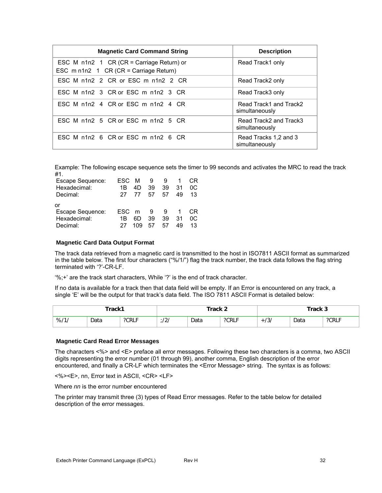| <b>Magnetic Card Command String</b>                                                 | <b>Description</b>                       |
|-------------------------------------------------------------------------------------|------------------------------------------|
| ESC M n1n2 1 CR (CR = Carriage Return) or<br>ESC m n1n2 1 CR (CR = Carriage Return) | Read Track1 only                         |
| FSC M n1n2 2 CR or FSC m n1n2 2 CR                                                  | Read Track2 only                         |
| ESC M n1n2 3 CR or ESC m n1n2 3 CR                                                  | Read Track3 only                         |
| FSC M n1n2 4 CR or FSC m n1n2 4 CR                                                  | Read Track1 and Track2<br>simultaneously |
| ESC M n1n2 5 CR or ESC m n1n2 5 CR                                                  | Read Track2 and Track3<br>simultaneously |
| ESC M n1n2 6 CR or ESC m n1n2 6 CR                                                  | Read Tracks 1.2 and 3<br>simultaneously  |

Example: The following escape sequence sets the timer to 99 seconds and activates the MRC to read the track #1.

| Escape Sequence: | FSC. | м   | 9  |    |    | CR. |
|------------------|------|-----|----|----|----|-----|
| Hexadecimal:     | 1B   | 4D  | 39 | 39 | 31 | 0C. |
| Decimal:         | 27   | 77  | 57 | 57 | 49 | 13  |
| or               |      |     |    |    |    |     |
| Escape Sequence: | FSC. | m   | 9  |    |    | CR  |
| Hexadecimal:     | 1B   | 6D. | 39 | 39 | 31 | OC. |
| Decimal:         | 27   | 109 | 57 | 57 | 49 | 13  |

#### **Magnetic Card Data Output Format**

The track data retrieved from a magnetic card is transmitted to the host in ISO7811 ASCII format as summarized in the table below. The first four characters ("%/1/") flag the track number, the track data follows the flag string terminated with '?'-CR-LF.

'%;+' are the track start characters, While '?' is the end of track character.

If no data is available for a track then that data field will be empty. If an Error is encountered on any track, a single 'E' will be the output for that track's data field. The ISO 7811 ASCII Format is detailed below:

| Track1 |      | Track 2 |                   |      | Track 3             |                    |      |       |
|--------|------|---------|-------------------|------|---------------------|--------------------|------|-------|
| %11    | Data | ?CRLF   | $\sqrt{2}$<br>12. | Data | $\sim$ 20DLE<br>◡Ҟឹ | $-131$<br><b>+</b> | Data | ?CRLF |

#### **Magnetic Card Read Error Messages**

The characters <%> and <E> preface all error messages. Following these two characters is a comma, two ASCII digits representing the error number (01 through 99), another comma, English description of the error encountered, and finally a CR-LF which terminates the <Error Message> string. The syntax is as follows:

<%><E>, nn, Error text in ASCII, <CR> <LF>

Where *nn* is the error number encountered

The printer may transmit three (3) types of Read Error messages. Refer to the table below for detailed description of the error messages.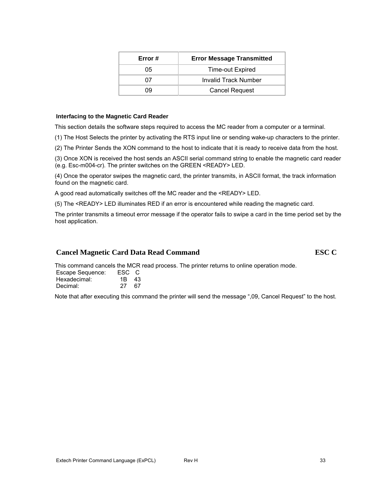| 05 | Time-out Expired      |
|----|-----------------------|
|    | Invalid Track Number  |
| 09 | <b>Cancel Request</b> |
|    |                       |

**Error # Error Message Transmitted** 

#### **Interfacing to the Magnetic Card Reader**

This section details the software steps required to access the MC reader from a computer or a terminal.

(1) The Host Selects the printer by activating the RTS input line or sending wake-up characters to the printer.

(2) The Printer Sends the XON command to the host to indicate that it is ready to receive data from the host.

(3) Once XON is received the host sends an ASCII serial command string to enable the magnetic card reader (e.g. Esc-m004-cr). The printer switches on the GREEN <READY> LED.

(4) Once the operator swipes the magnetic card, the printer transmits, in ASCII format, the track information found on the magnetic card.

A good read automatically switches off the MC reader and the <READY> LED.

(5) The <READY> LED illuminates RED if an error is encountered while reading the magnetic card.

The printer transmits a timeout error message if the operator fails to swipe a card in the time period set by the host application.

#### **Cancel Magnetic Card Data Read Command ESC C**

This command cancels the MCR read process. The printer returns to online operation mode.

| Escape Sequence: | ESC C |     |  |
|------------------|-------|-----|--|
| Hexadecimal:     | 1B 43 |     |  |
| Decimal:         | 27.   | -67 |  |

Note that after executing this command the printer will send the message ",09, Cancel Request" to the host.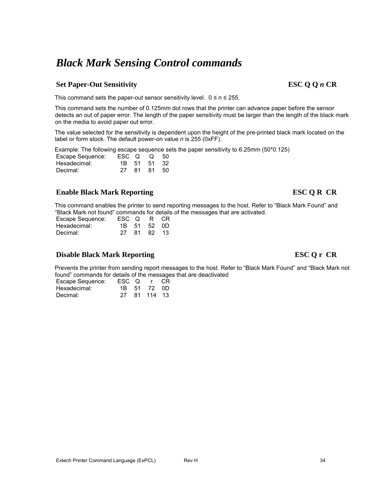# *Black Mark Sensing Control commands*

## Set Paper-Out Sensitivity ESC Q Q *n* CR

This command sets the paper-out sensor sensitivity level.  $0 \le n \le 255$ .

This command sets the number of 0.125mm dot rows that the printer can advance paper before the sensor detects an out of paper error. The length of the paper sensitivity must be larger than the length of the black mark on the media to avoid paper out error.

The value selected for the sensitivity is dependent upon the height of the pre-printed black mark located on the label or form stock. The default power-on value *n* is 255 (0xFF).

Example: The following escape sequence sets the paper sensitivity to 6.25mm (50\*0.125)

| Escape Sequence: | $\text{ESC}$ Q Q 50 |             |  |
|------------------|---------------------|-------------|--|
| Hexadecimal:     |                     | 1B 51 51 32 |  |
| Decimal:         |                     | 27 81 81 50 |  |

## **Enable Black Mark Reporting ESC Q R CR**

This command enables the printer to send reporting messages to the host. Refer to "Black Mark Found" and "Black Mark not found" commands for details of the messages that are activated.

| Escape Sequence: | ESC Q R CR |             |  |
|------------------|------------|-------------|--|
| Hexadecimal:     |            | 1B 51 52 0D |  |
| Decimal:         |            | 27 81 82 13 |  |

### **Disable Black Mark Reporting ESC Q r CR**

Prevents the printer from sending report messages to the host. Refer to "Black Mark Found" and "Black Mark not found" commands for details of the messages that are deactivated

| Escape Sequence: | ESC Q | r CR         |  |
|------------------|-------|--------------|--|
| Hexadecimal:     |       | 1B 51 72 0D  |  |
| Decimal:         |       | 27 81 114 13 |  |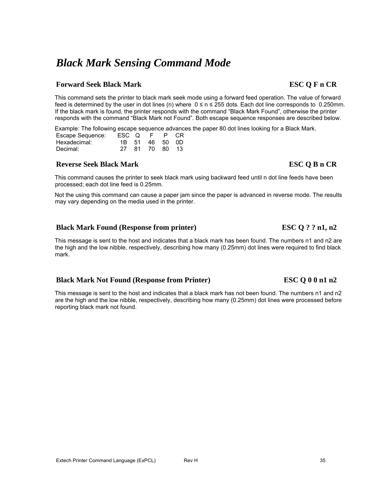# *Black Mark Sensing Command Mode*

## **Forward Seek Black Mark ESC Q F n CR**

This command sets the printer to black mark seek mode using a forward feed operation. The value of forward feed is determined by the user in dot lines (n) where 0 ≤ n ≤ 255 dots. Each dot line corresponds to 0.250mm. If the black mark is found, the printer responds with the command "Black Mark Found", otherwise the printer responds with the command "Black Mark not Found". Both escape sequence responses are described below.

Example: The following escape sequence advances the paper 80 dot lines looking for a Black Mark.

| Escape Sequence: | ESC Q F |                | P CR |
|------------------|---------|----------------|------|
| Hexadecimal:     |         | 1B 51 46 50 0D |      |
| Decimal:         |         | 27 81 70 80 13 |      |

## **Reverse Seek Black Mark ESC Q B n CR**

This command causes the printer to seek black mark using backward feed until n dot line feeds have been processed; each dot line feed is 0.25mm.

Not the using this command can cause a paper jam since the paper is advanced in reverse mode. The results may vary depending on the media used in the printer.

## **Black Mark Found (Response from printer)** ESC Q?? n1, n2

This message is sent to the host and indicates that a black mark has been found. The numbers n1 and n2 are the high and the low nibble, respectively, describing how many (0.25mm) dot lines were required to find black mark.

## **Black Mark Not Found (Response from Printer) ESC Q 0 0 n1 n2**

This message is sent to the host and indicates that a black mark has not been found. The numbers n1 and n2 are the high and the low nibble, respectively, describing how many (0.25mm) dot lines were processed before reporting black mark not found.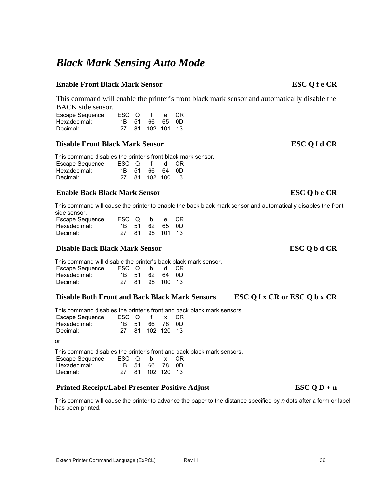# *Black Mark Sensing Auto Mode*

### **Enable Front Black Mark Sensor ESC Q f e CR**

This command will enable the printer's front black mark sensor and automatically disable the BACK side sensor.

| Escape Sequence: |  | ESC Q f e CR     |  |
|------------------|--|------------------|--|
| Hexadecimal:     |  | 1B 51 66 65 0D   |  |
| Decimal:         |  | 27 81 102 101 13 |  |

### **Disable Front Black Mark Sensor ESC Q f d CR**

This command disables the printer's front black mark sensor.

| Escape Sequence: | ESC Q f d CR |                  |  |  |
|------------------|--------------|------------------|--|--|
| Hexadecimal:     |              | 1B 51 66 64 0D   |  |  |
| Decimal:         |              | 27 81 102 100 13 |  |  |

### **Enable Back Black Mark Sensor ESC Q b e CR**

This command will cause the printer to enable the back black mark sensor and automatically disables the front side sensor.

| Escape Sequence: | ESC Q b e CR |  |                 |  |
|------------------|--------------|--|-----------------|--|
| Hexadecimal:     |              |  | 1B 51 62 65 0D  |  |
| Decimal:         |              |  | 27 81 98 101 13 |  |

## **Disable Back Black Mark Sensor ESC Q b d CR**

This command will disable the printer's back black mark sensor. Escape Sequence: ESC Q b d CR Hexadecimal: 1B 51 62 64 0D Decimal: 27 81 98 100 13

### **Disable Both Front and Back Black Mark Sensors ESC Q f x CR or ESC Q b x CR**

This command disables the printer's front and back black mark sensors.

| Escape Sequence: | ESC Q f x CR |                  |  |  |
|------------------|--------------|------------------|--|--|
| Hexadecimal:     |              | 1B 51 66 78 0D   |  |  |
| Decimal:         |              | 27 81 102 120 13 |  |  |

or

This command disables the printer's front and back black mark sensors.

| Escape Sequence: | ESC Q b x CR |                  |  |
|------------------|--------------|------------------|--|
| Hexadecimal:     |              | 1B 51 66 78 0D   |  |
| Decimal:         |              | 27 81 102 120 13 |  |

## **Printed Receipt/Label Presenter Positive Adjust FIGURE 4.1 ESC O D + n**

This command will cause the printer to advance the paper to the distance specified by *n* dots after a form or label has been printed.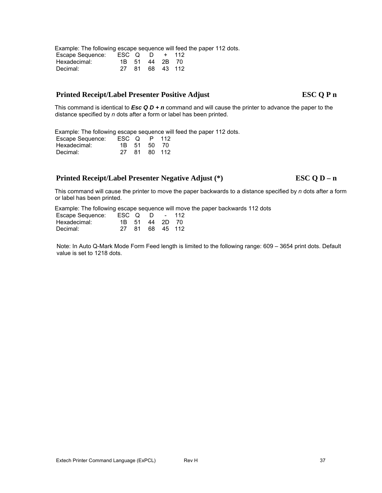Example: The following escape sequence will feed the paper 112 dots.

| Escape Sequence: | $\text{ESC}$ Q D + 112 |                 |  |
|------------------|------------------------|-----------------|--|
| Hexadecimal:     |                        | 1B 51 44 2B 70  |  |
| Decimal:         |                        | 27 81 68 43 112 |  |

## **Printed Receipt/Label Presenter Positive Adjust ESC Q P n**

This command is identical to *Esc Q D + n* command and will cause the printer to advance the paper to the distance specified by *n* dots after a form or label has been printed.

Example: The following escape sequence will feed the paper 112 dots.

| Escape Sequence: | ESC Q | P.          | 112    |
|------------------|-------|-------------|--------|
| Hexadecimal:     |       | 1B 51 50 70 |        |
| Decimal:         | 27 81 |             | 80 112 |

## **Printed Receipt/Label Presenter Negative Adjust (\*) ESC Q D – n**

This command will cause the printer to move the paper backwards to a distance specified by *n* dots after a form or label has been printed.

Example: The following escape sequence will move the paper backwards 112 dots

| Escape Sequence: | ESC Q D |                | - 112           |
|------------------|---------|----------------|-----------------|
| Hexadecimal:     |         | 1B 51 44 2D 70 |                 |
| Decimal:         |         |                | 27 81 68 45 112 |

Note: In Auto Q-Mark Mode Form Feed length is limited to the following range: 609 – 3654 print dots. Default value is set to 1218 dots.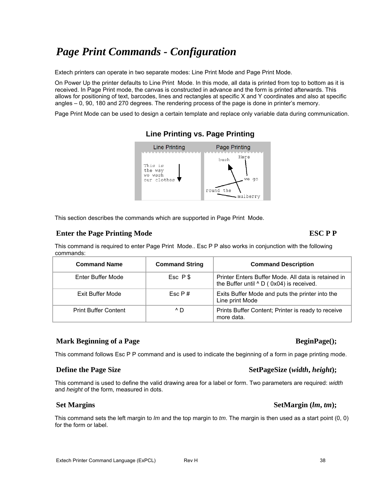# *Page Print Commands - Configuration*

Extech printers can operate in two separate modes: Line Print Mode and Page Print Mode.

On Power Up the printer defaults to Line Print Mode. In this mode, all data is printed from top to bottom as it is received. In Page Print mode, the canvas is constructed in advance and the form is printed afterwards. This allows for positioning of text, barcodes, lines and rectangles at specific X and Y coordinates and also at specific angles – 0, 90, 180 and 270 degrees. The rendering process of the page is done in printer's memory.

Page Print Mode can be used to design a certain template and replace only variable data during communication.



## **Line Printing vs. Page Printing**

This section describes the commands which are supported in Page Print Mode.

### **Enter the Page Printing Mode**  ESC P P

This command is required to enter Page Print Mode.. Esc P P also works in conjunction with the following commands:

| <b>Command Name</b>         | <b>Command String</b> | <b>Command Description</b>                                                                             |
|-----------------------------|-----------------------|--------------------------------------------------------------------------------------------------------|
| Enter Buffer Mode           | Esc P \$              | Printer Enters Buffer Mode. All data is retained in<br>the Buffer until $\wedge$ D (0x04) is received. |
| Exit Buffer Mode            | Fsc P#                | Exits Buffer Mode and puts the printer into the<br>Line print Mode                                     |
| <b>Print Buffer Content</b> | $^{\wedge}$ D         | Prints Buffer Content; Printer is ready to receive<br>more data.                                       |

## **Mark Beginning of a Page 3 and 2 and 3 and 3 and 3 and 3 and 3 and 3 and 3 and 3 and 3 and 3 and 3 and 3 and 3 and 3 and 4 and 4 and 4 and 4 and 4 and 4 and 4 and 4 and 4 and 4 and 4 and 4 and 4 and 4 and 4 and 4 and 4 an**

This command follows Esc P P command and is used to indicate the beginning of a form in page printing mode.

## **Define the Page Size SetPageSize (***width***,** *height***);**

This command is used to define the valid drawing area for a label or form. Two parameters are required: *width* and *height* of the form, measured in dots.

### Set Margins SetMargin (*lm*, *tm*);

This command sets the left margin to *lm* and the top margin to *tm*. The margin is then used as a start point (0, 0) for the form or label.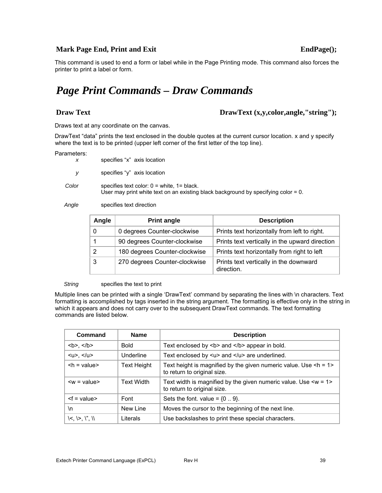## **Mark Page End, Print and Exit EndPage(); EndPage();**

This command is used to end a form or label while in the Page Printing mode. This command also forces the printer to print a label or form.

# *Page Print Commands – Draw Commands*

### **Draw Text** DrawText (x,y,color,angle,"string");

Draws text at any coordinate on the canvas.

DrawText "data" prints the text enclosed in the double quotes at the current cursor location. x and y specify where the text is to be printed (upper left corner of the first letter of the top line).

#### Parameters:

| $\boldsymbol{X}$ | specifies "x" axis location                                                                                                              |
|------------------|------------------------------------------------------------------------------------------------------------------------------------------|
| V.               | specifies "y" axis location                                                                                                              |
| Color            | specifies text color: $0 =$ white, $1 =$ black.<br>User may print white text on an existing black background by specifying color = $0$ . |

*Angle* specifies text direction

| Angle | <b>Print angle</b>            | <b>Description</b>                                   |
|-------|-------------------------------|------------------------------------------------------|
|       | 0 degrees Counter-clockwise   | Prints text horizontally from left to right.         |
|       | 90 degrees Counter-clockwise  | Prints text vertically in the upward direction       |
|       | 180 degrees Counter-clockwise | Prints text horizontally from right to left          |
| 3     | 270 degrees Counter-clockwise | Prints text vertically in the downward<br>direction. |

**String** specifies the text to print

Multiple lines can be printed with a single 'DrawText' command by separating the lines with \n characters. Text formatting is accomplished by tags inserted in the string argument. The formatting is effective only in the string in which it appears and does not carry over to the subsequent DrawText commands. The text formatting commands are listed below.

| Command                            | <b>Name</b>       | <b>Description</b>                                                                                     |
|------------------------------------|-------------------|--------------------------------------------------------------------------------------------------------|
| <br>b>, $<$ /b>                    | <b>Bold</b>       | Text enclosed by <b> and </b> appear in bold.                                                          |
| $< u > 0$ , $< u > 0$              | Underline         | Text enclosed by $\langle u \rangle$ and $\langle u \rangle$ are underlined.                           |
| $\mathsf{h}$ = value>              | Text Height       | Text height is magnified by the given numeric value. Use $\leq h = 1$ ><br>to return to original size. |
| $\langle w = \text{value} \rangle$ | <b>Text Width</b> | Text width is magnified by the given numeric value. Use $\leq w = 1$<br>to return to original size.    |
| $< f = value$                      | Font              | Sets the font. value = $\{09\}$ .                                                                      |
| ۱n                                 | New Line          | Moves the cursor to the beginning of the next line.                                                    |
| $\leq$ , $\geq$ , $\  \cdot \ $    | Literals          | Use backslashes to print these special characters.                                                     |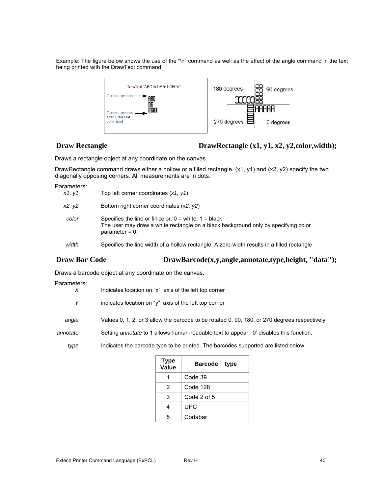Example: The figure below shows the use of the "\n" command as well as the effect of the angle command in the text being printed with the DrawText command



## **Draw Rectangle DrawRectangle (x1, y1, x2, y2, color, width);**

Draws a rectangle object at any coordinate on the canvas.

DrawRectangle command draws either a hollow or a filled rectangle. (x1, y1) and (x2, y2) specify the two diagonally opposing corners. All measurements are in dots.

#### Parameters:

| x1, y1 | Top left corner coordinates $(x1, y1)$                                                                                                                                |
|--------|-----------------------------------------------------------------------------------------------------------------------------------------------------------------------|
| x2. v2 | Bottom right corner coordinates $(x2, y2)$                                                                                                                            |
| color  | Specifies the line or fill color: $0 =$ white, $1 =$ black<br>The user may draw a white rectangle on a black background only by specifying color<br>$parameter = 0$ . |
| width  | Specifies the line width of a hollow rectangle. A zero-width results in a filled rectangle                                                                            |

## **Draw Bar Code DrawBarcode(x,y,angle,annotate,type,height, "data");**

Draws a barcode object at any coordinate on the canvas.

#### Parameters:

| $\chi$   | Indicates location on "x" axis of the left top corner                                        |
|----------|----------------------------------------------------------------------------------------------|
| Y        | indicates location on "y" axis of the left top corner                                        |
| angle    | Values 0, 1, 2, or 3 allow the barcode to be rotated 0, 90, 180, or 270 degrees respectively |
| annotate | Setting annotate to 1 allows human-readable text to appear. 'O' disables this function.      |
| type     | Indicates the barcode type to be printed. The barcodes supported are listed below:           |
|          | Tuno                                                                                         |

| <b>Type</b><br>Value | Barcode type |  |
|----------------------|--------------|--|
|                      | Code 39      |  |
| 2                    | Code 128     |  |
| 3                    | Code 2 of 5  |  |
| 4                    | UPC          |  |
| 5                    | Codabar      |  |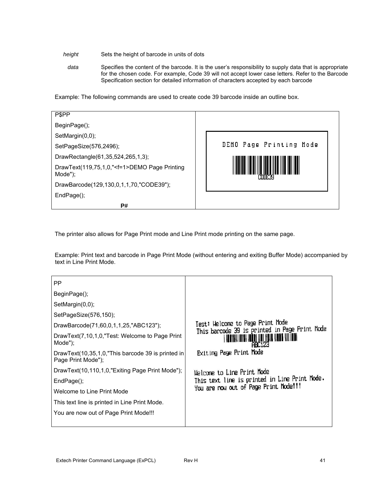#### *height* Sets the height of barcode in units of dots

*data* Specifies the content of the barcode. It is the user's responsibility to supply data that is appropriate for the chosen code. For example, Code 39 will not accept lower case letters. Refer to the Barcode Specification section for detailed information of characters accepted by each barcode

Example: The following commands are used to create code 39 barcode inside an outline box.

| <b>PSPP</b>                                                     |                         |
|-----------------------------------------------------------------|-------------------------|
| BeginPage();                                                    |                         |
| SetMargin(0,0);                                                 |                         |
| SetPageSize(576,2496);                                          | DEMO Page Printing Mode |
| DrawRectangle(61,35,524,265,1,3);                               |                         |
| DrawText(119,75,1,0," <f=1>DEMO Page Printing<br/>Mode");</f=1> |                         |
| DrawBarcode(129,130,0,1,1,70,"CODE39");                         |                         |
| EndPage();                                                      |                         |
| P#                                                              |                         |

The printer also allows for Page Print mode and Line Print mode printing on the same page.

Example: Print text and barcode in Page Print Mode (without entering and exiting Buffer Mode) accompanied by text in Line Print Mode.

| PP.                                                                     |                                                                                   |
|-------------------------------------------------------------------------|-----------------------------------------------------------------------------------|
| BeginPage();                                                            |                                                                                   |
| SetMargin(0,0);                                                         |                                                                                   |
| SetPageSize(576,150);                                                   |                                                                                   |
| DrawBarcode(71,60,0,1,1,25,"ABC123");                                   | Test: Welcome to Page Print Mode<br>This barcode 39 is printed in Page Print Mode |
| DrawText(7,10,1,0,"Test: Welcome to Page Print<br>Mode");               |                                                                                   |
| DrawText(10,35,1,0,"This barcode 39 is printed in<br>Page Print Mode"); | Exiting Page Print Mode                                                           |
| DrawText(10,110,1,0,"Exiting Page Print Mode");                         | Helcome to Line Print Mode                                                        |
| EndPage();                                                              | This text line is printed in Line Print Mode.                                     |
| Welcome to Line Print Mode                                              | You are now out of Page Print Mode!!!                                             |
| This text line is printed in Line Print Mode.                           |                                                                                   |
| You are now out of Page Print Mode!!!                                   |                                                                                   |
|                                                                         |                                                                                   |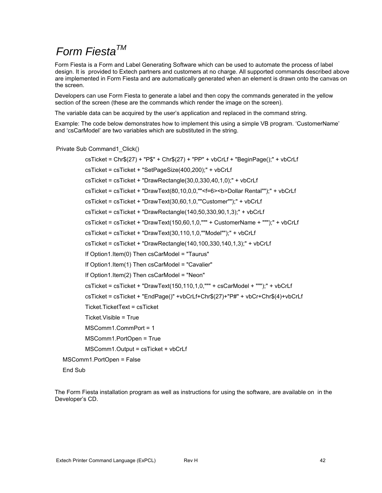# *Form FiestaTM*

Form Fiesta is a Form and Label Generating Software which can be used to automate the process of label design. It is provided to Extech partners and customers at no charge. All supported commands described above are implemented in Form Fiesta and are automatically generated when an element is drawn onto the canvas on the screen.

Developers can use Form Fiesta to generate a label and then copy the commands generated in the yellow section of the screen (these are the commands which render the image on the screen).

The variable data can be acquired by the user's application and replaced in the command string.

Example: The code below demonstrates how to implement this using a simple VB program. 'CustomerName' and 'csCarModel' are two variables which are substituted in the string.

Private Sub Command1\_Click()

 csTicket = Chr\$(27) + "P\$" + Chr\$(27) + "PP" + vbCrLf + "BeginPage();" + vbCrLf csTicket = csTicket + "SetPageSize(400,200);" + vbCrLf csTicket = csTicket + "DrawRectangle(30,0,330,40,1,0);" + vbCrLf csTicket = csTicket + "DrawText(80,10,0,0,""<f=6><b>Dollar Rental"");" + vbCrLf csTicket = csTicket + "DrawText(30,60,1,0,""Customer"");" + vbCrLf csTicket = csTicket + "DrawRectangle(140,50,330,90,1,3);" + vbCrLf csTicket = csTicket + "DrawText(150,60,1,0,""" + CustomerName + """);" + vbCrLf csTicket = csTicket + "DrawText(30,110,1,0,""Model"");" + vbCrLf csTicket = csTicket + "DrawRectangle(140,100,330,140,1,3);" + vbCrLf If Option1.Item(0) Then csCarModel = "Taurus" If Option1.Item(1) Then csCarModel = "Cavalier" If Option1.Item(2) Then csCarModel = "Neon" csTicket = csTicket + "DrawText(150,110,1,0,""" + csCarModel + """);" + vbCrLf csTicket = csTicket + "EndPage()" +vbCrLf+Chr\$(27)+"P#" + vbCr+Chr\$(4)+vbCrLf Ticket.TicketText = csTicket Ticket.Visible = True MSComm1.CommPort = 1 MSComm1.PortOpen = True MSComm1.Output = csTicket + vbCrLf MSComm1.PortOpen = False

End Sub

The Form Fiesta installation program as well as instructions for using the software, are available on in the Developer's CD.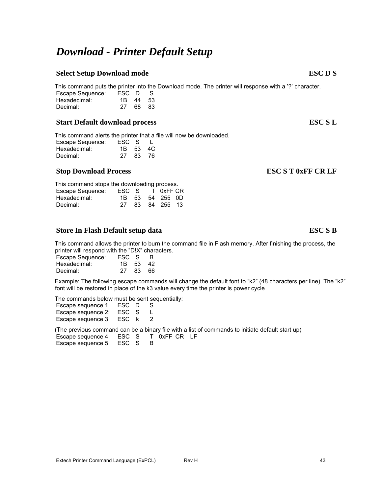# *Download - Printer Default Setup*

## **Select Setup Download mode** ESC D S

This command puts the printer into the Download mode. The printer will response with a '?' character.

| Escape Sequence: | ESC D |       | - S |  |
|------------------|-------|-------|-----|--|
| Hexadecimal:     | 1B -  | 44 53 |     |  |
| Decimal:         | 27    | 68 83 |     |  |

### **Start Default download process ESC S L**

This command alerts the printer that a file will now be downloaded.

| Escape Sequence: | ESC S |          |
|------------------|-------|----------|
| Hexadecimal:     |       | 1B 53 4C |
| Decimal:         | 27    | 83.76    |

### **Stop Download Process ESC S T 0xFF CR LF**

| This command stops the downloading process. |                 |  |  |                 |  |
|---------------------------------------------|-----------------|--|--|-----------------|--|
| Escape Sequence:                            | ESC S T 0xFF CR |  |  |                 |  |
| Hexadecimal:                                |                 |  |  | 1B 53 54 255 0D |  |
| Decimal:                                    | 27              |  |  | 83 84 255 13    |  |

### **Store In Flash Default setup data ESC S B**

This command allows the printer to burn the command file in Flash memory. After finishing the process, the printer will respond with the "D!X" characters.

| Escape Sequence: | ESC S    | B. |
|------------------|----------|----|
| Hexadecimal:     | 1R 53 42 |    |
| Decimal:         | 27 83 66 |    |

Example: The following escape commands will change the default font to "k2" (48 characters per line). The "k2" font will be restored in place of the k3 value every time the printer is power cycle

The commands below must be sent sequentially:

| Escape sequence 1: | ESC D | S. |
|--------------------|-------|----|
| Escape sequence 2: | ESC S | L  |
| Escape sequence 3: | ESC k | 2  |

(The previous command can be a binary file with a list of commands to initiate default start up)

Escape sequence 4: ESC S T 0xFF CR LF Escape sequence 5: ESC S B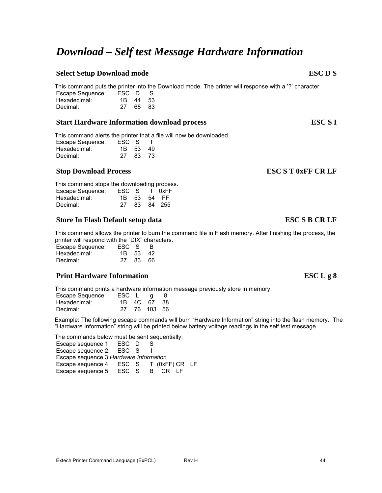# *Download – Self test Message Hardware Information*

## **Select Setup Download mode** ESC D S

This command puts the printer into the Download mode. The printer will response with a '?' character.<br>Escape Sequence: ESC D S Escape Sequence: ESC D S

| Hexadecimal: | 1B 44 53 |  |
|--------------|----------|--|
| Decimal:     | 27 68 83 |  |

### **Start Hardware Information download process ESC S I**

This command alerts the printer that a file will now be downloaded.

| Escape Sequence: | ESC S    |       |
|------------------|----------|-------|
| Hexadecimal:     | 1B 53 49 |       |
| Decimal:         | 27       | 83 73 |

## **Stop Download Process ESC S T 0xFF CR LF**

This command stops the downloading process. Escape Sequence: ESC S T 0xFF<br>Hexadecimal: 1B 53 54 FF 1B 53 54 FF Decimal: 27 83 84 255

### **Store In Flash Default setup data ESC S B CR LF**

This command allows the printer to burn the command file in Flash memory. After finishing the process, the printer will respond with the "D!X" characters.

| Escape Sequence: | ESC S    |      | <b>B</b> |
|------------------|----------|------|----------|
| Hexadecimal:     | 1B 53 42 |      |          |
| Decimal:         | 27       | 8366 |          |

## **Print Hardware Information**

This command prints a hardware information message previously store in memory.

| Escape Sequence: | $\textsf{ESC} \quad \textsf{L} \quad \textsf{g}$ |              | -8 |
|------------------|--------------------------------------------------|--------------|----|
| Hexadecimal:     |                                                  | 1B 4C 67 38  |    |
| Decimal:         |                                                  | 27 76 103 56 |    |

Example: The following escape commands will burn "Hardware Information" string into the flash memory. The "Hardware Information" string will be printed below battery voltage readings in the self test message.

The commands below must be sent sequentially:

Escape sequence 1: ESC D S Escape sequence 2: ESC S I Escape sequence 3:*Hardware Information* Escape sequence 4: ESC S T (0xFF) CR LF Escape sequence 5: ESC S B CR LF

| $\mathbf{E}\mathbf{S}\mathbf{C}\mathbf{L}\mathbf{g}$ |  | 8 |
|------------------------------------------------------|--|---|
|------------------------------------------------------|--|---|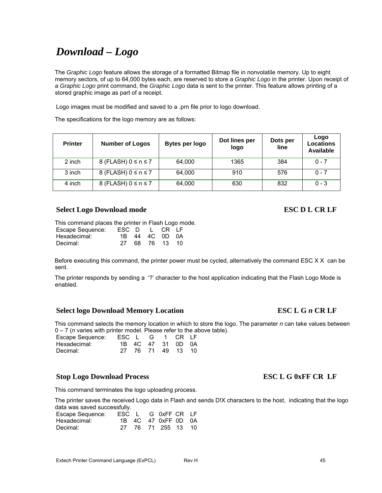# *Download – Logo*

The *Graphic Logo* feature allows the storage of a formatted Bitmap file in nonvolatile memory. Up to eight memory sectors, of up to 64,000 bytes each, are reserved to store a *Graphic Logo* in the printer. Upon receipt of a *Graphic Logo* print command, the *Graphic Logo* data is sent to the printer. This feature allows printing of a stored graphic image as part of a receipt.

Logo images must be modified and saved to a .prn file prior to logo download.

The specifications for the logo memory are as follows:

| <b>Printer</b> | <b>Number of Logos</b>    | Bytes per logo | Dot lines per<br>logo | Dots per<br>line | Logo<br><b>Locations</b><br><b>Available</b> |
|----------------|---------------------------|----------------|-----------------------|------------------|----------------------------------------------|
| 2 inch         | 8 (FLASH) $0 \le n \le 7$ | 64,000         | 1365                  | 384              | $0 - 7$                                      |
| 3 inch         | 8 (FLASH) $0 \le n \le 7$ | 64,000         | 910                   | 576              | $0 - 7$                                      |
| 4 inch         | 8 (FLASH) $0 \le n \le 7$ | 64,000         | 630                   | 832              | $0 - 3$                                      |

### **Select Logo Download mode** ESC D L CR LF

This command places the printer in Flash Logo mode.<br>Escape Sequence: ESC D L CR LF Escape Sequence: ESC D L CR LF Hexadecimal: 1B 44 4C 0D 0A

Decimal: 27 68 76 13 10

Before executing this command, the printer power must be cycled, alternatively the command ESC X X can be sent.

The printer responds by sending a '?' character to the host application indicating that the Flash Logo Mode is enabled.

### **Select logo Download Memory Location ESC L G** *n* **CR LF**

This command selects the memory location in which to store the logo. The parameter *n* can take values between 0 – 7 (*n* varies with printer model. Please refer to the above table).

| Escape Sequence: | ESC L G 1 CR LF |  |                   |  |
|------------------|-----------------|--|-------------------|--|
| Hexadecimal:     |                 |  | 1B 4C 47 31 0D 0A |  |
| Decimal:         |                 |  | 27 76 71 49 13 10 |  |

### **Stop Logo Download Process ESC L G 0xFF CR LF**

#### This command terminates the logo uploading process.

The printer saves the received Logo data in Flash and sends D!X characters to the host, indicating that the logo data was saved successfully.

| Escape Sequence: |  | ESC L G 0xFF CR LF  |  |
|------------------|--|---------------------|--|
| Hexadecimal:     |  | 1B 4C 47 0xFF 0D 0A |  |
| Decimal:         |  | 27 76 71 255 13 10  |  |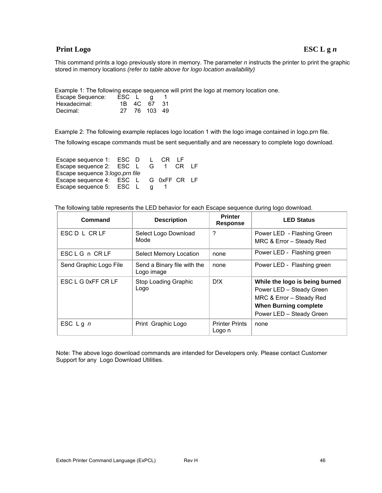## **Print Logo** ESC L g *n*

This command prints a logo previously store in memory. The parameter *n* instructs the printer to print the graphic stored in memory location*s (refer to table above for logo location availability)*

Example 1: The following escape sequence will print the logo at memory location one.

| Escape Sequence: | ESC L | q           |  |
|------------------|-------|-------------|--|
| Hexadecimal:     |       | 1B 4C 67 31 |  |
| Decimal:         | 27    | 76 103 49   |  |

Example 2: The following example replaces logo location 1 with the logo image contained in logo.prn file.

The following escape commands must be sent sequentially and are necessary to complete logo download.

| Escape sequence 1: ESC D L            |  |  |   | CR IF |         |  |
|---------------------------------------|--|--|---|-------|---------|--|
| Escape sequence 2: ESC L              |  |  | G |       | 1 CR IF |  |
| Escape sequence 3:logo.prn file       |  |  |   |       |         |  |
| Escape sequence 4: ESC L G 0xFF CR LF |  |  |   |       |         |  |
| Escape sequence 5: ESC L              |  |  |   |       |         |  |

The following table represents the LED behavior for each Escape sequence during logo download.

| Command                | <b>Description</b>                        | <b>Printer</b><br><b>Response</b> | <b>LED Status</b>                                                                                                                                  |
|------------------------|-------------------------------------------|-----------------------------------|----------------------------------------------------------------------------------------------------------------------------------------------------|
| ESC D L CR LF          | Select Logo Download<br>Mode              | ?                                 | Power LED - Flashing Green<br>MRC & Error - Steady Red                                                                                             |
| ESCLG n CRLF           | Select Memory Location                    | none                              | Power LED - Flashing green                                                                                                                         |
| Send Graphic Logo File | Send a Binary file with the<br>Logo image | none                              | Power LED - Flashing green                                                                                                                         |
| ESC L G 0xFF CR LF     | Stop Loading Graphic<br>Logo              | D!X                               | While the logo is being burned<br>Power LED - Steady Green<br>MRC & Error - Steady Red<br><b>When Burning complete</b><br>Power LED - Steady Green |
| ESC $Lg n$             | Print Graphic Logo                        | <b>Printer Prints</b><br>Logo n   | none                                                                                                                                               |

Note: The above logo download commands are intended for Developers only. Please contact Customer Support for any Logo Download Utilities.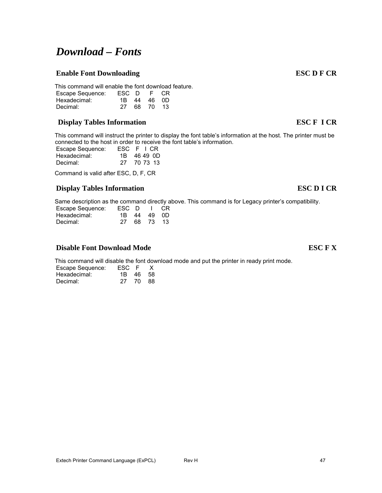#### This command will enable the font download feature.<br>Escape Sequence: ESC D F CR Escape Sequence: ESC D F CR

*Download – Fonts* 

# **Display Tables Information ESC F I CR**

Hexadecimal: 1B 44 46 0D Decimal: 27 68 70 13

This command will instruct the printer to display the font table's information at the host. The printer must be connected to the host in order to receive the font table's information.

| Escape Sequence: | ESC F I CR  |
|------------------|-------------|
| Hexadecimal:     | 1B 46 49 0D |
| Decimal:         | 27 70 73 13 |
|                  |             |

Command is valid after ESC, D, F, CR

## **Display Tables Information ESC D I CR**

Same description as the command directly above. This command is for Legacy printer's compatibility.

| Escape Sequence: | ESC D |             | I CR |
|------------------|-------|-------------|------|
| Hexadecimal:     |       | 1B 44 49 0D |      |
| Decimal:         | 27    | 68 73 13    |      |

## **Disable Font Download Mode ESC F X**

This command will disable the font download mode and put the printer in ready print mode.

| Escape Sequence: | ESC F    | X |
|------------------|----------|---|
| Hexadecimal:     | 1B 46 58 |   |
| Decimal:         | 27 70 88 |   |

# **Enable Font Downloading ESC D F CR**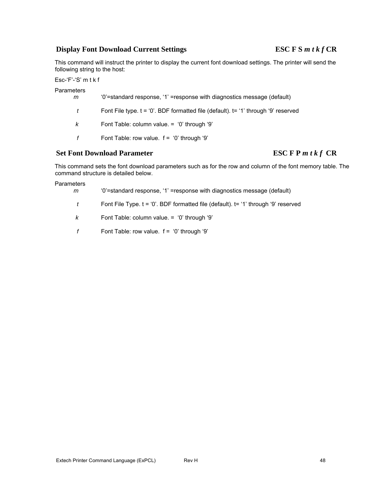### **Display Font Download Current Settings ESC F S** *m t k f* **CR**

This command will instruct the printer to display the current font download settings. The printer will send the following string to the host:

Esc-'F'-'S' m t k f

Parameters

| ᇌᇢ<br>m | '0'=standard response, '1' =response with diagnostics message (default)                  |
|---------|------------------------------------------------------------------------------------------|
| t       | Font File type. $t = '0'$ . BDF formatted file (default). $t = '1'$ through '9' reserved |
| k       | Font Table: column value. = '0' through '9'                                              |
|         | Font Table: row value. $f = '0'$ through '9'                                             |

### Set Font Download Parameter ESC F P *m t k f* CR

This command sets the font download parameters such as for the row and column of the font memory table. The command structure is detailed below.

**Parameters** 

*m* '0'=standard response, '1' =response with diagnostics message (default)

*t* Font File Type. t = '0'. BDF formatted file (default). t= '1' through '9' reserved

- *k* Font Table: column value. = '0' through '9'
- *f* Font Table: row value. f = '0' through '9'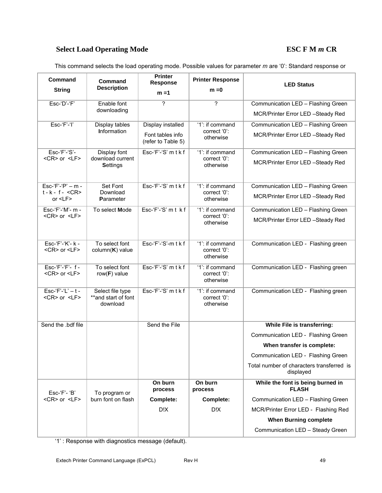# Select Load Operating Mode<br>
ESC F M  $m$  CR

This command selects the load operating mode. Possible values for parameter *m* are '0': Standard response or

| Command<br><b>String</b>                              | Command<br><b>Description</b>                       | <b>Printer</b><br><b>Response</b><br>$m = 1$ | <b>Printer Response</b><br>$m = 0$           | <b>LED Status</b>                                      |
|-------------------------------------------------------|-----------------------------------------------------|----------------------------------------------|----------------------------------------------|--------------------------------------------------------|
|                                                       |                                                     |                                              |                                              |                                                        |
| Esc-'D'-'F'                                           | Enable font<br>downloading                          | $\gamma$                                     | ?                                            | Communication LED - Flashing Green                     |
|                                                       |                                                     |                                              |                                              | MCR/Printer Error LED -Steady Red                      |
| Esc-'F'-'l'                                           | Display tables                                      | Display installed                            | '1': if command                              | Communication LED - Flashing Green                     |
|                                                       | <b>Information</b>                                  | Font tables info<br>(refer to Table 5)       | correct '0':<br>otherwise                    | MCR/Printer Error LED -Steady Red                      |
| Esc-'F'-'S'-                                          | Display font                                        | Esc-'F'-'S' m t k f                          | '1': if command                              | Communication LED - Flashing Green                     |
| <cr> or <lf></lf></cr>                                | download current<br><b>Settings</b>                 |                                              | correct '0':<br>otherwise                    | MCR/Printer Error LED -Steady Red                      |
| $Esc-f'-P'-m -$                                       | Set Font                                            | Esc-'F'-'S' mtkf                             | '1': if command                              | Communication LED - Flashing Green                     |
| $t - k - f - <$ CR><br>or $\leq$ $\leq$ $\leq$ $\geq$ | Download<br>Parameter                               |                                              | correct '0':<br>otherwise                    | MCR/Printer Error LED -Steady Red                      |
| Esc-'F'-'M'- m -                                      | To select Mode                                      | Esc-'F'-'S' mt kf                            | '1': if command                              | Communication LED - Flashing Green                     |
| <cr> or <lf></lf></cr>                                |                                                     |                                              | correct '0':<br>otherwise                    | MCR/Printer Error LED -Steady Red                      |
| Esc-'F'-'K'- k -<br><cr> or <lf></lf></cr>            | To select font<br>$column(K)$ value                 | Esc-'F'-'S'-m t k f                          | '1': if command<br>correct '0':<br>otherwise | Communication LED - Flashing green                     |
| Esc-'F'-'F'- f -<br><cr> or <lf></lf></cr>            | To select font<br>row( $F$ ) value                  | Esc-'F'-'S' m t k f                          | '1': if command<br>correct '0':<br>otherwise | Communication LED - Flashing green                     |
| $Esc-f'-L'-t$ -<br><cr> or <lf></lf></cr>             | Select file type<br>**and start of font<br>download | Esc-'F'-'S' mtkf                             | '1': if command<br>correct '0':<br>otherwise | Communication LED - Flashing green                     |
| Send the .bdf file                                    |                                                     | Send the File                                |                                              | While File is transferring:                            |
|                                                       |                                                     |                                              |                                              | Communication LED - Flashing Green                     |
|                                                       |                                                     |                                              |                                              | When transfer is complete:                             |
|                                                       |                                                     |                                              |                                              | Communication LED - Flashing Green                     |
|                                                       |                                                     |                                              |                                              | Total number of characters transferred is<br>displayed |
| $Esc-F'-B'$                                           | To program or                                       | On burn<br>process                           | On burn<br>process                           | While the font is being burned in<br><b>FLASH</b>      |
| <cr> or <lf></lf></cr>                                | burn font on flash                                  | Complete:                                    | Complete:                                    | Communication LED - Flashing Green                     |
|                                                       |                                                     | D!X                                          | D!X                                          | MCR/Printer Error LED - Flashing Red                   |
|                                                       |                                                     |                                              |                                              | <b>When Burning complete</b>                           |
|                                                       |                                                     |                                              |                                              | Communication LED - Steady Green                       |

'1' : Response with diagnostics message (default).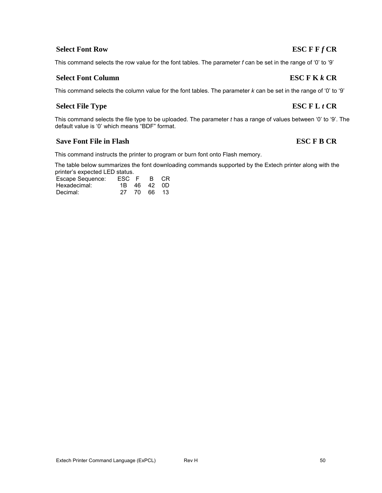This command instructs the printer to program or burn font onto Flash memory.

The table below summarizes the font downloading commands supported by the Extech printer along with the printer's expected LED status.

| Escape Sequence: | ESC F B CR |             |  |
|------------------|------------|-------------|--|
| Hexadecimal:     |            | 1B 46 42 0D |  |
| Decimal:         |            | 27 70 66 13 |  |

default value is '0' which means "BDF" format.

## **Select Font Row ESC F F** *f* **CR**

This command selects the row value for the font tables. The parameter *f* can be set in the range of '0' to '9'

### **Select Font Column ESC F K** *k* **CR**

This command selects the column value for the font tables. The parameter *k* can be set in the range of '0' to '9'

This command selects the file type to be uploaded. The parameter *t* has a range of values between '0' to '9'. The

## **Select File Type ESC F L** *t* **CR**

# **Save Font File in Flash ESC F B CR**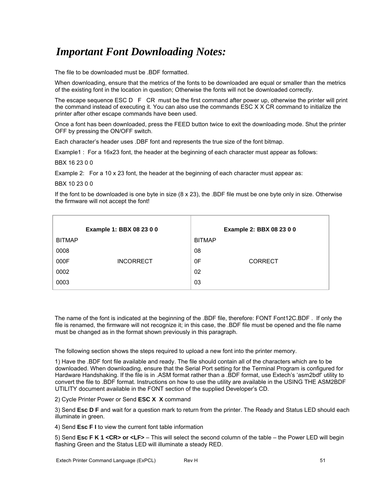# *Important Font Downloading Notes:*

The file to be downloaded must be .BDF formatted.

When downloading, ensure that the metrics of the fonts to be downloaded are equal or smaller than the metrics of the existing font in the location in question; Otherwise the fonts will not be downloaded correctly.

The escape sequence ESC D F CR must be the first command after power up, otherwise the printer will print the command instead of executing it. You can also use the commands ESC X X CR command to initialize the printer after other escape commands have been used.

Once a font has been downloaded, press the FEED button twice to exit the downloading mode. Shut the printer OFF by pressing the ON/OFF switch.

Each character's header uses .DBF font and represents the true size of the font bitmap.

Example1 : For a 16x23 font, the header at the beginning of each character must appear as follows:

BBX 16 23 0 0

Example 2: For a 10 x 23 font, the header at the beginning of each character must appear as:

BBX 10 23 0 0

If the font to be downloaded is one byte in size  $(8 \times 23)$ , the .BDF file must be one byte only in size. Otherwise the firmware will not accept the font!

|               | Example 1: BBX 08 23 0 0 |               | Example 2: BBX 08 23 0 0 |
|---------------|--------------------------|---------------|--------------------------|
| <b>BITMAP</b> |                          | <b>BITMAP</b> |                          |
| 0008          |                          | 08            |                          |
| 000F          | <b>INCORRECT</b>         | 0F            | <b>CORRECT</b>           |
| 0002          |                          | 02            |                          |
| 0003          |                          | 03            |                          |

The name of the font is indicated at the beginning of the .BDF file, therefore: FONT Font12C.BDF . If only the file is renamed, the firmware will not recognize it; in this case, the .BDF file must be opened and the file name must be changed as in the format shown previously in this paragraph.

The following section shows the steps required to upload a new font into the printer memory.

1) Have the .BDF font file available and ready. The file should contain all of the characters which are to be downloaded. When downloading, ensure that the Serial Port setting for the Terminal Program is configured for Hardware Handshaking. If the file is in .ASM format rather than a .BDF format, use Extech's 'asm2bdf' utility to convert the file to .BDF format. Instructions on how to use the utility are available in the USING THE ASM2BDF UTILITY document available in the FONT section of the supplied Developer's CD.

2) Cycle Printer Power or Send **ESC X X** command

3) Send **Esc D F** and wait for a question mark to return from the printer. The Ready and Status LED should each illuminate in green.

4) Send **Esc F I** to view the current font table information

5) Send **Esc F K 1 <CR> or <LF>** – This will select the second column of the table – the Power LED will begin flashing Green and the Status LED will illuminate a steady RED.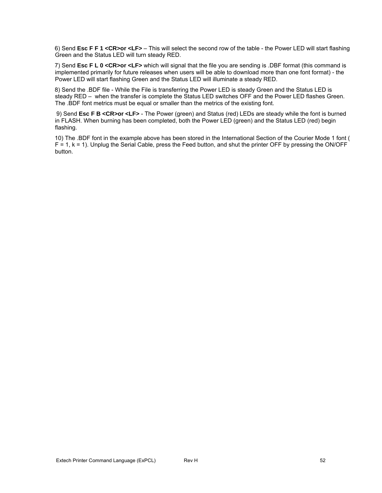6) Send **Esc F F 1 <CR>or <LF>** – This will select the second row of the table - the Power LED will start flashing Green and the Status LED will turn steady RED.

7) Send **Esc F L 0 <CR>or <LF>** which will signal that the file you are sending is .DBF format (this command is implemented primarily for future releases when users will be able to download more than one font format) - the Power LED will start flashing Green and the Status LED will illuminate a steady RED.

8) Send the .BDF file - While the File is transferring the Power LED is steady Green and the Status LED is steady RED – when the transfer is complete the Status LED switches OFF and the Power LED flashes Green. The .BDF font metrics must be equal or smaller than the metrics of the existing font.

 9) Send **Esc F B <CR>or <LF>** - The Power (green) and Status (red) LEDs are steady while the font is burned in FLASH. When burning has been completed, both the Power LED (green) and the Status LED (red) begin flashing.

10) The .BDF font in the example above has been stored in the International Section of the Courier Mode 1 font (  $F = 1$ ,  $k = 1$ ). Unplug the Serial Cable, press the Feed button, and shut the printer OFF by pressing the ON/OFF button.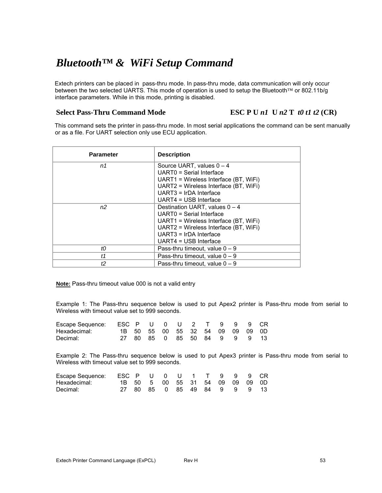# *Bluetooth™ & WiFi Setup Command*

Extech printers can be placed in pass-thru mode. In pass-thru mode, data communication will only occur between the two selected UARTS. This mode of operation is used to setup the Bluetooth™ or 802.11b/g interface parameters. While in this mode, printing is disabled.

Select Pass-Thru Command Mode ESC P U *n1* U *n2* T *t0 t1 t2* (CR)

This command sets the printer in pass-thru mode. In most serial applications the command can be sent manually or as a file. For UART selection only use ECU application.

| <b>Parameter</b> | <b>Description</b>                                                                                                                                                                                  |
|------------------|-----------------------------------------------------------------------------------------------------------------------------------------------------------------------------------------------------|
| n1               | Source UART, values $0 - 4$<br>UARTO = Serial Interface<br>UART1 = Wireless Interface (BT, WiFi)<br>UART2 = Wireless Interface (BT, WiFi)<br>$UART3 = IrDA$ Interface<br>UART4 = USB Interface      |
| n <sub>2</sub>   | Destination UART, values $0 - 4$<br>UARTO = Serial Interface<br>UART1 = Wireless Interface (BT, WiFi)<br>UART2 = Wireless Interface (BT, WiFi)<br>$UART3 = IrDA$ Interface<br>UART4 = USB Interface |
| tО               | Pass-thru timeout, value $0 - 9$                                                                                                                                                                    |
| t1               | Pass-thru timeout, value $0 - 9$                                                                                                                                                                    |
| ť2               | Pass-thru timeout. value $0 - 9$                                                                                                                                                                    |

**Note:** Pass-thru timeout value 000 is not a valid entry

Example 1: The Pass-thru sequence below is used to put Apex2 printer is Pass-thru mode from serial to Wireless with timeout value set to 999 seconds.

| Escape Sequence: ESC P U 0 U 2 T 9 9 9 CR |  |                                  |  |  |  |  |
|-------------------------------------------|--|----------------------------------|--|--|--|--|
| Hexadecimal:                              |  | 1B 50 55 00 55 32 54 09 09 09 0D |  |  |  |  |
| Decimal:                                  |  | 27 80 85 0 85 50 84 9 9 9 13     |  |  |  |  |

Example 2: The Pass-thru sequence below is used to put Apex3 printer is Pass-thru mode from serial to Wireless with timeout value set to 999 seconds.

| Escape Sequence: ESC P U 0 U 1 T 9 9 9 CR |  |                                 |  |  |  |  |
|-------------------------------------------|--|---------------------------------|--|--|--|--|
| Hexadecimal:                              |  | 1B 50 5 00 55 31 54 09 09 09 0D |  |  |  |  |
| Decimal:                                  |  | 27 80 85 0 85 49 84 9 9 9 13    |  |  |  |  |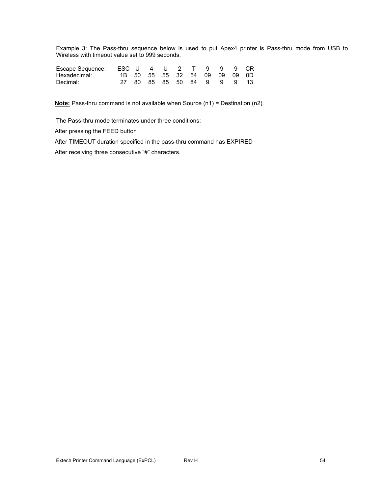Example 3: The Pass-thru sequence below is used to put Apex4 printer is Pass-thru mode from USB to Wireless with timeout value set to 999 seconds.

| Escape Sequence: ESC U 4 U 2 T 9 9 9 CR |  |                               |  |  |  |
|-----------------------------------------|--|-------------------------------|--|--|--|
| Hexadecimal:                            |  | 1B 50 55 55 32 54 09 09 09 0D |  |  |  |
| Decimal:                                |  | 27 80 85 85 50 84 9 9 9 13    |  |  |  |

**Note:** Pass-thru command is not available when Source (n1) = Destination (n2)

The Pass-thru mode terminates under three conditions:

After pressing the FEED button

After TIMEOUT duration specified in the pass-thru command has EXPIRED

After receiving three consecutive "#" characters.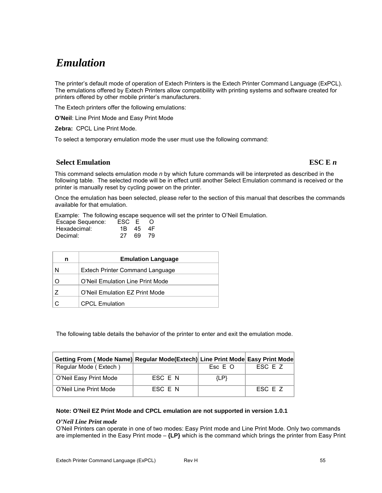# *Emulation*

The printer's default mode of operation of Extech Printers is the Extech Printer Command Language (ExPCL). The emulations offered by Extech Printers allow compatibility with printing systems and software created for printers offered by other mobile printer's manufacturers.

The Extech printers offer the following emulations:

**O'Neil**: Line Print Mode and Easy Print Mode

**Zebra:** CPCL Line Print Mode.

To select a temporary emulation mode the user must use the following command:

### **Select Emulation** ESC E *n*

This command selects emulation mode *n* by which future commands will be interpreted as described in the following table. The selected mode will be in effect until another Select Emulation command is received or the printer is manually reset by cycling power on the printer.

Once the emulation has been selected, please refer to the section of this manual that describes the commands available for that emulation.

Example: The following escape sequence will set the printer to O'Neil Emulation.

| Escape Sequence: | ESC E    | - 0 |
|------------------|----------|-----|
| Hexadecimal:     | 1B 45 4F |     |
| Decimal:         | 27 69 79 |     |

| n | <b>Emulation Language</b>        |
|---|----------------------------------|
| N | Extech Printer Command Language  |
| O | O'Neil Emulation Line Print Mode |
| 7 | O'Neil Emulation EZ Print Mode   |
|   | <b>CPCL Emulation</b>            |

The following table details the behavior of the printer to enter and exit the emulation mode.

| Getting From (Mode Name) Regular Mode(Extech) Line Print Mode Easy Print Mode |         |         |         |
|-------------------------------------------------------------------------------|---------|---------|---------|
| Regular Mode (Extech)                                                         |         | Esc E O | FSC F Z |
| O'Neil Easy Print Mode                                                        | ESC E N | ${LP}$  |         |
| O'Neil Line Print Mode                                                        | FSC F N |         | ESC E Z |

#### **Note: O'Neil EZ Print Mode and CPCL emulation are not supported in version 1.0.1**

#### *O'Neil Line Print mode*

O'Neil Printers can operate in one of two modes: Easy Print mode and Line Print Mode. Only two commands are implemented in the Easy Print mode – **{LP}** which is the command which brings the printer from Easy Print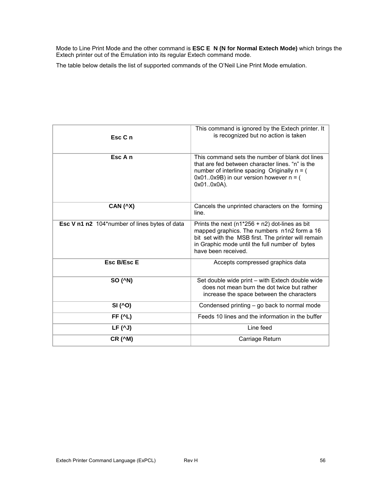Mode to Line Print Mode and the other command is **ESC E N (N for Normal Extech Mode)** which brings the Extech printer out of the Emulation into its regular Extech command mode.

The table below details the list of supported commands of the O'Neil Line Print Mode emulation.

| Esc C n                                       | This command is ignored by the Extech printer. It<br>is recognized but no action is taken                                                                                                                                         |
|-----------------------------------------------|-----------------------------------------------------------------------------------------------------------------------------------------------------------------------------------------------------------------------------------|
| Esc A n                                       | This command sets the number of blank dot lines<br>that are fed between character lines. "n" is the<br>number of interline spacing Originally $n = ($<br>$0x010x9B$ ) in our version however $n = ($<br>0x010x0A).                |
| <b>CAN (^X)</b>                               | Cancels the unprinted characters on the forming<br>line.                                                                                                                                                                          |
| Esc V n1 n2 104*number of lines bytes of data | Prints the next ( $n1*256 + n2$ ) dot-lines as bit<br>mapped graphics. The numbers n1n2 form a 16<br>bit set with the MSB first. The printer will remain<br>in Graphic mode until the full number of bytes<br>have been received. |
| Esc B/Esc E                                   | Accepts compressed graphics data                                                                                                                                                                                                  |
| SO (^N)                                       | Set double wide print - with Extech double wide<br>does not mean burn the dot twice but rather<br>increase the space between the characters                                                                                       |
| SI (^O)                                       | Condensed printing - go back to normal mode                                                                                                                                                                                       |
| <b>FF (^L)</b>                                | Feeds 10 lines and the information in the buffer                                                                                                                                                                                  |
| $LF(^AJ)$                                     | Line feed                                                                                                                                                                                                                         |
| <b>CR (^M)</b>                                | Carriage Return                                                                                                                                                                                                                   |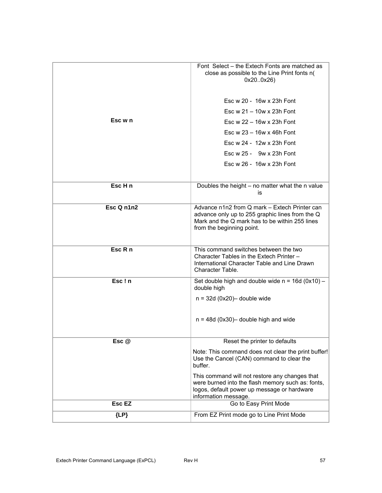|            | Font Select – the Extech Fonts are matched as                                                                                                                                   |
|------------|---------------------------------------------------------------------------------------------------------------------------------------------------------------------------------|
|            | close as possible to the Line Print fonts n(<br>0x200x26)                                                                                                                       |
|            | Esc w 20 - 16w x 23h Font                                                                                                                                                       |
|            | Esc $w 21 - 10w \times 23h$ Font                                                                                                                                                |
| Esc w n    | Esc $w$ 22 - 16 $w$ x 23h Font                                                                                                                                                  |
|            | Esc w $23 - 16w \times 46h$ Font                                                                                                                                                |
|            | Esc w 24 - 12w x 23h Font                                                                                                                                                       |
|            | Esc $w 25 - 9w x 23h$ Font                                                                                                                                                      |
|            | Esc w 26 - 16w x 23h Font                                                                                                                                                       |
|            |                                                                                                                                                                                 |
| Esc H n    | Doubles the height - no matter what the n value<br>is                                                                                                                           |
| Esc Q n1n2 | Advance n1n2 from Q mark - Extech Printer can<br>advance only up to 255 graphic lines from the Q<br>Mark and the Q mark has to be within 255 lines<br>from the beginning point. |
| Esc R n    | This command switches between the two<br>Character Tables in the Extech Printer -<br>International Character Table and Line Drawn<br>Character Table.                           |
| Esc!n      | Set double high and double wide $n = 16d (0x10) -$<br>double high                                                                                                               |
|            | $n = 32d (0x20)$ double wide                                                                                                                                                    |
|            | $n = 48d (0x30)$ double high and wide                                                                                                                                           |
| Esc @      | Reset the printer to defaults                                                                                                                                                   |
|            | Note: This command does not clear the print buffer!<br>Use the Cancel (CAN) command to clear the<br>buffer.                                                                     |
|            | This command will not restore any changes that<br>were burned into the flash memory such as: fonts,<br>logos, default power up message or hardware<br>information message.      |
| Esc EZ     | Go to Easy Print Mode                                                                                                                                                           |
| ${LP}$     | From EZ Print mode go to Line Print Mode                                                                                                                                        |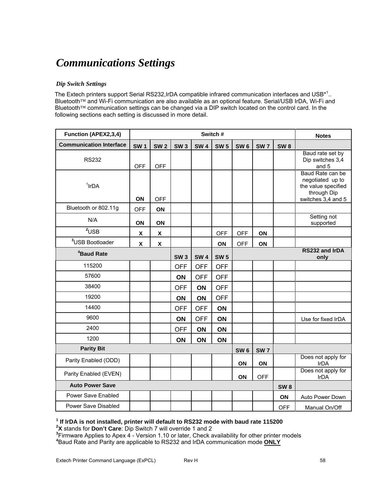# *Communications Settings*

#### *Dip Switch Settings*

The Extech printers support Serial RS232, IrDA compatible infrared communication interfaces and USB<sup>\*1</sup>.. Bluetooth™ and Wi-Fi communication are also available as an optional feature. Serial/USB IrDA, Wi-Fi and Bluetooth™ communication settings can be changed via a DIP switch located on the control card. In the following sections each setting is discussed in more detail.

| Function (APEX2,3,4)           | Switch #           |                           |            |            |             |                 |            |                 | <b>Notes</b>                                                                                     |
|--------------------------------|--------------------|---------------------------|------------|------------|-------------|-----------------|------------|-----------------|--------------------------------------------------------------------------------------------------|
| <b>Communication Interface</b> | <b>SW1</b>         | <b>SW2</b>                | <b>SW3</b> | <b>SW4</b> | <b>SW 5</b> | SW <sub>6</sub> | <b>SW7</b> | <b>SW8</b>      |                                                                                                  |
| <b>RS232</b>                   | <b>OFF</b>         | <b>OFF</b>                |            |            |             |                 |            |                 | Baud rate set by<br>Dip switches 3,4<br>and 5                                                    |
| $1$ IrDA                       | ON                 | <b>OFF</b>                |            |            |             |                 |            |                 | Baud Rate can be<br>negotiated up to<br>the value specified<br>through Dip<br>switches 3,4 and 5 |
| Bluetooth or 802.11g           | <b>OFF</b>         | ON                        |            |            |             |                 |            |                 |                                                                                                  |
| N/A                            | ON                 | ON                        |            |            |             |                 |            |                 | Setting not<br>supported                                                                         |
| $2$ USB                        | $\pmb{\mathsf{X}}$ | $\boldsymbol{\mathsf{x}}$ |            |            | <b>OFF</b>  | <b>OFF</b>      | ON         |                 |                                                                                                  |
| <sup>3</sup> USB Bootloader    | X                  | X                         |            |            | ON          | <b>OFF</b>      | ON         |                 |                                                                                                  |
| <sup>4</sup> Baud Rate         |                    |                           | <b>SW3</b> | <b>SW4</b> | <b>SW 5</b> |                 |            |                 | RS232 and IrDA<br>only                                                                           |
| 115200                         |                    |                           | <b>OFF</b> | <b>OFF</b> | <b>OFF</b>  |                 |            |                 |                                                                                                  |
| 57600                          |                    |                           | ON         | <b>OFF</b> | <b>OFF</b>  |                 |            |                 |                                                                                                  |
| 38400                          |                    |                           | <b>OFF</b> | ON         | <b>OFF</b>  |                 |            |                 |                                                                                                  |
| 19200                          |                    |                           | ON         | ON         | <b>OFF</b>  |                 |            |                 |                                                                                                  |
| 14400                          |                    |                           | <b>OFF</b> | <b>OFF</b> | ON          |                 |            |                 |                                                                                                  |
| 9600                           |                    |                           | ON         | <b>OFF</b> | ON          |                 |            |                 | Use for fixed IrDA                                                                               |
| 2400                           |                    |                           | <b>OFF</b> | ON         | ON          |                 |            |                 |                                                                                                  |
| 1200                           |                    |                           | ON         | ON         | ON          |                 |            |                 |                                                                                                  |
| <b>Parity Bit</b>              |                    |                           |            |            |             | SW <sub>6</sub> | <b>SW7</b> |                 |                                                                                                  |
| Parity Enabled (ODD)           |                    |                           |            |            |             | ON              | ON         |                 | Does not apply for<br>IrDA                                                                       |
| Parity Enabled (EVEN)          |                    |                           |            |            |             | ON              | <b>OFF</b> |                 | Does not apply for<br><b>IrDA</b>                                                                |
| <b>Auto Power Save</b>         |                    |                           |            |            |             |                 |            | SW <sub>8</sub> |                                                                                                  |
| Power Save Enabled             |                    |                           |            |            |             |                 |            | ON              | Auto Power Down                                                                                  |
| Power Save Disabled            |                    |                           |            |            |             |                 |            | <b>OFF</b>      | Manual On/Off                                                                                    |

#### **1 If IrDA is not installed, printer will default to RS232 mode with baud rate 115200**

<sup>2</sup>X stands for Don't Care: Dip Switch 7 will override 1 and 2

**<sup>X</sup>** stands for **Don't Care**: Dip Switch 7 will override 1 and 2 **<sup>3</sup>** Firmware Applies to Apex 4 - Version 1.10 or later, Check availability for other printer models **4** Baud Rate and Parity are applicable to RS232 and IrDA communication mode **ONLY**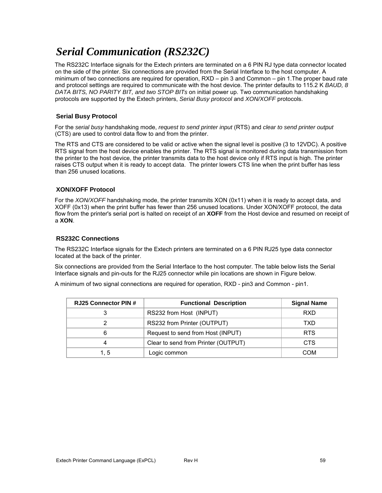# *Serial Communication (RS232C)*

The RS232C Interface signals for the Extech printers are terminated on a 6 PIN RJ type data connector located on the side of the printer. Six connections are provided from the Serial Interface to the host computer. A minimum of two connections are required for operation, RXD – pin 3 and Common – pin 1.The proper baud rate and protocol settings are required to communicate with the host device. The printer defaults to 115.2 K *BAUD, 8 DATA BITS, NO PARITY BIT, and two STOP BITs* on initial power up. Two communication handshaking protocols are supported by the Extech printers, *Serial Busy protocol* and *XON/XOFF* protocols.

### **Serial Busy Protocol**

For the *serial busy* handshaking mode, *request to send printer input* (RTS) and *clear to send printer output* (CTS) are used to control data flow to and from the printer.

The RTS and CTS are considered to be valid or active when the signal level is positive (3 to 12VDC). A positive RTS signal from the host device enables the printer. The RTS signal is monitored during data transmission from the printer to the host device, the printer transmits data to the host device only if RTS input is high. The printer raises CTS output when it is ready to accept data. The printer lowers CTS line when the print buffer has less than 256 unused locations.

#### **XON/XOFF Protocol**

For the *XON/XOFF* handshaking mode, the printer transmits XON (0x11) when it is ready to accept data, and XOFF (0x13) when the print buffer has fewer than 256 unused locations. Under XON/XOFF protocol, the data flow from the printer's serial port is halted on receipt of an **XOFF** from the Host device and resumed on receipt of a **XON**.

#### **RS232C Connections**

The RS232C Interface signals for the Extech printers are terminated on a 6 PIN RJ25 type data connector located at the back of the printer.

Six connections are provided from the Serial Interface to the host computer. The table below lists the Serial Interface signals and pin-outs for the RJ25 connector while pin locations are shown in Figure below.

A minimum of two signal connections are required for operation, RXD - pin3 and Common - pin1.

| <b>RJ25 Connector PIN #</b> | <b>Functional Description</b>       | <b>Signal Name</b> |
|-----------------------------|-------------------------------------|--------------------|
| 3                           | RS232 from Host (INPUT)             | <b>RXD</b>         |
| 2                           | RS232 from Printer (OUTPUT)         | TXD                |
| 6                           | Request to send from Host (INPUT)   | <b>RTS</b>         |
| 4                           | Clear to send from Printer (OUTPUT) | <b>CTS</b>         |
| 1. 5                        | Logic common                        | COM                |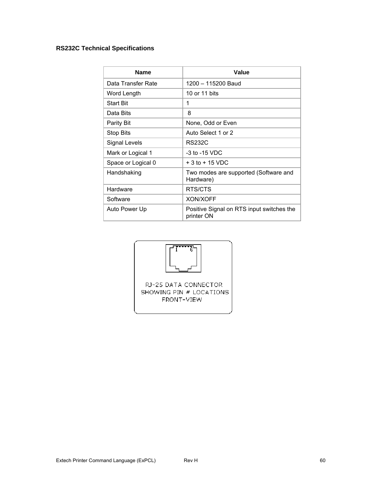## **RS232C Technical Specifications**

| <b>Name</b>        | Value                                                   |
|--------------------|---------------------------------------------------------|
| Data Transfer Rate | 1200 - 115200 Baud                                      |
| Word Length        | 10 or 11 bits                                           |
| <b>Start Bit</b>   | 1                                                       |
| Data Bits          | 8                                                       |
| Parity Bit         | None, Odd or Even                                       |
| Stop Bits          | Auto Select 1 or 2                                      |
| Signal Levels      | <b>RS232C</b>                                           |
| Mark or Logical 1  | $-3$ to $-15$ VDC                                       |
| Space or Logical 0 | $+3$ to $+15$ VDC                                       |
| Handshaking        | Two modes are supported (Software and<br>Hardware)      |
| Hardware           | RTS/CTS                                                 |
| Software           | <b>XON/XOFF</b>                                         |
| Auto Power Up      | Positive Signal on RTS input switches the<br>printer ON |

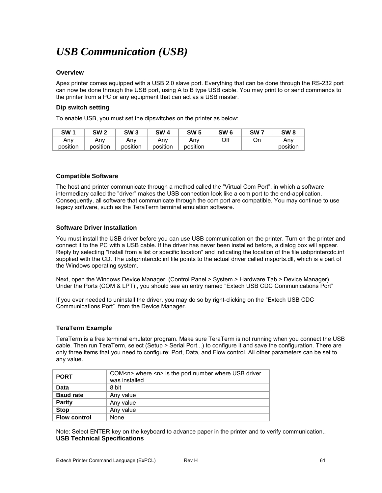# *USB Communication (USB)*

#### **Overview**

Apex printer comes equipped with a USB 2.0 slave port. Everything that can be done through the RS-232 port can now be done through the USB port, using A to B type USB cable. You may print to or send commands to the printer from a PC or any equipment that can act as a USB master.

#### **Dip switch setting**

To enable USB, you must set the dipswitches on the printer as below:

| SW 1     | SW <sub>2</sub> | SW 3     | SW       | <b>SW 5</b> | SW 6 | SW <sub>7</sub> | SW <sub>8</sub> |
|----------|-----------------|----------|----------|-------------|------|-----------------|-----------------|
| Any      | Anv             | Any      | Anv      | Anv         | Off  | On              | Anv             |
| position | position        | position | position | position    |      |                 | position        |

#### **Compatible Software**

The host and printer communicate through a method called the "Virtual Com Port", in which a software intermediary called the "driver" makes the USB connection look like a com port to the end-application. Consequently, all software that communicate through the com port are compatible. You may continue to use legacy software, such as the TeraTerm terminal emulation software.

#### **Software Driver Installation**

You must install the USB driver before you can use USB communication on the printer. Turn on the printer and connect it to the PC with a USB cable. If the driver has never been installed before, a dialog box will appear. Reply by selecting "Install from a list or specific location" and indicating the location of the file usbprintercdc.inf supplied with the CD. The usbprintercdc.inf file points to the actual driver called msports.dll, which is a part of the Windows operating system.

Next, open the Windows Device Manager. (Control Panel > System > Hardware Tab > Device Manager) Under the Ports (COM & LPT) , you should see an entry named "Extech USB CDC Communications Port"

If you ever needed to uninstall the driver, you may do so by right-clicking on the "Extech USB CDC Communications Port" from the Device Manager.

#### **TeraTerm Example**

TeraTerm is a free terminal emulator program. Make sure TeraTerm is not running when you connect the USB cable. Then run TeraTerm, select (Setup > Serial Port...) to configure it and save the configuration. There are only three items that you need to configure: Port, Data, and Flow control. All other parameters can be set to any value.

| <b>PORT</b>         | COM <n> where <n> is the port number where USB driver<br/>was installed</n></n> |
|---------------------|---------------------------------------------------------------------------------|
| Data                | 8 bit                                                                           |
| <b>Baud rate</b>    | Any value                                                                       |
| <b>Parity</b>       | Any value                                                                       |
| <b>Stop</b>         | Any value                                                                       |
| <b>Flow control</b> | None                                                                            |

Note: Select ENTER key on the keyboard to advance paper in the printer and to verify communication.. **USB Technical Specifications**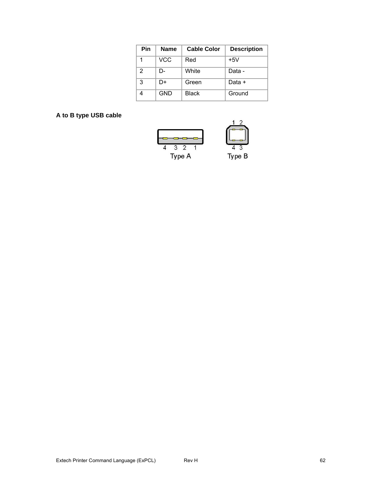| Pin | <b>Name</b> | <b>Cable Color</b> | <b>Description</b> |
|-----|-------------|--------------------|--------------------|
|     | VCC         | Red                | $+5V$              |
| 2   | D-          | White              | Data -             |
| 3   | D+          | Green              | Data +             |
|     | <b>GND</b>  | Black              | Ground             |

# **A to B type USB cable**

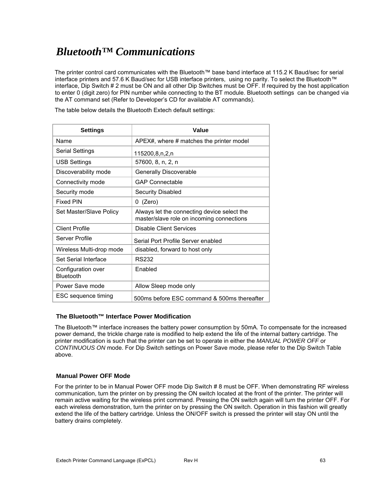# *Bluetooth™ Communications*

The printer control card communicates with the Bluetooth™ base band interface at 115.2 K Baud/sec for serial interface printers and 57.6 K Baud/sec for USB interface printers, using no parity. To select the Bluetooth™ interface, Dip Switch # 2 must be ON and all other Dip Switches must be OFF. If required by the host application to enter 0 (digit zero) for PIN number while connecting to the BT module. Bluetooth settings can be changed via the AT command set (Refer to Developer's CD for available AT commands).

Settings **Value** 

The table below details the Bluetooth Extech default settings:

| Name                                   | APEX#, where # matches the printer model                                                 |
|----------------------------------------|------------------------------------------------------------------------------------------|
| Serial Settings                        | 115200,8,n,2,n                                                                           |
| USB Settings                           | 57600, 8, n, 2, n                                                                        |
| Discoverability mode                   | <b>Generally Discoverable</b>                                                            |
| Connectivity mode                      | <b>GAP Connectable</b>                                                                   |
| Security mode                          | Security Disabled                                                                        |
| <b>Fixed PIN</b>                       | 0 (Zero)                                                                                 |
| Set Master/Slave Policy                | Always let the connecting device select the<br>master/slave role on incoming connections |
| <b>Client Profile</b>                  | <b>Disable Client Services</b>                                                           |
| Server Profile                         | Serial Port Profile Server enabled                                                       |
| Wireless Multi-drop mode               | disabled, forward to host only                                                           |
| Set Serial Interface                   | <b>RS232</b>                                                                             |
| Configuration over<br><b>Bluetooth</b> | Enabled                                                                                  |
| Power Save mode                        | Allow Sleep mode only                                                                    |
| ESC sequence timing                    | 500ms before ESC command & 500ms thereafter                                              |

#### **The Bluetooth™ Interface Power Modification**

The Bluetooth™ interface increases the battery power consumption by 50mA. To compensate for the increased power demand, the trickle charge rate is modified to help extend the life of the internal battery cartridge. The printer modification is such that the printer can be set to operate in either the *MANUAL POWER OFF* or *CONTINUOUS ON* mode. For Dip Switch settings on Power Save mode, please refer to the Dip Switch Table above.

#### **Manual Power OFF Mode**

For the printer to be in Manual Power OFF mode Dip Switch # 8 must be OFF. When demonstrating RF wireless communication, turn the printer on by pressing the ON switch located at the front of the printer. The printer will remain active waiting for the wireless print command. Pressing the ON switch again will turn the printer OFF. For each wireless demonstration, turn the printer on by pressing the ON switch. Operation in this fashion will greatly extend the life of the battery cartridge. Unless the ON/OFF switch is pressed the printer will stay ON until the battery drains completely.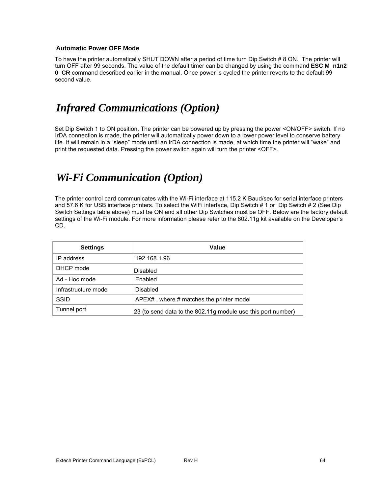#### **Automatic Power OFF Mode**

To have the printer automatically SHUT DOWN after a period of time turn Dip Switch # 8 ON. The printer will turn OFF after 99 seconds. The value of the default timer can be changed by using the command **ESC M n1n2 0 CR** command described earlier in the manual. Once power is cycled the printer reverts to the default 99 second value.

# *Infrared Communications (Option)*

Set Dip Switch 1 to ON position. The printer can be powered up by pressing the power <ON/OFF> switch. If no IrDA connection is made, the printer will automatically power down to a lower power level to conserve battery life. It will remain in a "sleep" mode until an IrDA connection is made, at which time the printer will "wake" and print the requested data. Pressing the power switch again will turn the printer <OFF>.

# *Wi-Fi Communication (Option)*

The printer control card communicates with the Wi-Fi interface at 115.2 K Baud/sec for serial interface printers and 57.6 K for USB interface printers. To select the WiFi interface, Dip Switch # 1 or Dip Switch # 2 (See Dip Switch Settings table above) must be ON and all other Dip Switches must be OFF. Below are the factory default settings of the Wi-Fi module. For more information please refer to the 802.11g kit available on the Developer's CD.

| <b>Settings</b>     | Value                                                        |
|---------------------|--------------------------------------------------------------|
| IP address          | 192.168.1.96                                                 |
| DHCP mode           | Disabled                                                     |
| Ad - Hoc mode       | Enabled                                                      |
| Infrastructure mode | Disabled                                                     |
| SSID                | $APEX\#$ , where $\#$ matches the printer model              |
| Tunnel port         | 23 (to send data to the 802.11g module use this port number) |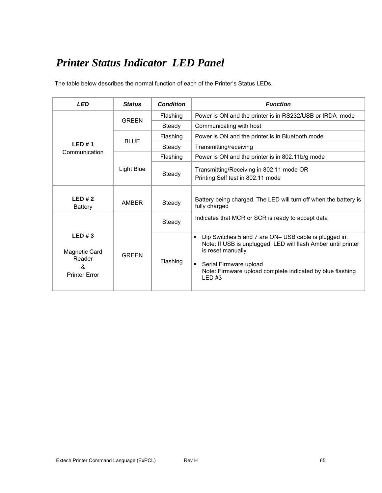# *Printer Status Indicator LED Panel*

The table below describes the normal function of each of the Printer's Status LEDs.

| <b>LED</b>                                                    | <b>Status</b> | <b>Condition</b> | <b>Function</b>                                                                                                                                                                                                                                                    |  |
|---------------------------------------------------------------|---------------|------------------|--------------------------------------------------------------------------------------------------------------------------------------------------------------------------------------------------------------------------------------------------------------------|--|
|                                                               | <b>GRFFN</b>  | Flashing         | Power is ON and the printer is in RS232/USB or IRDA mode                                                                                                                                                                                                           |  |
|                                                               |               | Steady           | Communicating with host                                                                                                                                                                                                                                            |  |
|                                                               | BI UF         | Flashing         | Power is ON and the printer is in Bluetooth mode                                                                                                                                                                                                                   |  |
| LED#1                                                         |               | Steady           | Transmitting/receiving                                                                                                                                                                                                                                             |  |
| Communication                                                 |               | Flashing         | Power is ON and the printer is in 802.11b/g mode                                                                                                                                                                                                                   |  |
|                                                               | Light Blue    | Steady           | Transmitting/Receiving in 802.11 mode OR<br>Printing Self test in 802.11 mode                                                                                                                                                                                      |  |
| LED#2<br><b>Battery</b>                                       | <b>AMBFR</b>  | Steady           | Battery being charged. The LED will turn off when the battery is<br>fully charged                                                                                                                                                                                  |  |
|                                                               |               | Steady           | Indicates that MCR or SCR is ready to accept data                                                                                                                                                                                                                  |  |
| LED#3<br>Magnetic Card<br>Reader<br>&<br><b>Printer Error</b> | <b>GREEN</b>  | Flashing         | Dip Switches 5 and 7 are ON- USB cable is plugged in.<br>$\blacksquare$<br>Note: If USB is unplugged, LED will flash Amber until printer<br>is reset manually<br>Serial Firmware upload<br>٠<br>Note: Firmware upload complete indicated by blue flashing<br>LED#3 |  |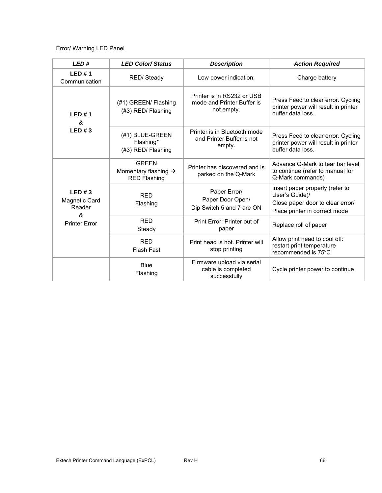## Error/ Warning LED Panel

| LED#<br><b>LED Color/Status</b>                                      |                                                                         | <b>Description</b>                                                     | <b>Action Required</b>                                                                                                 |  |
|----------------------------------------------------------------------|-------------------------------------------------------------------------|------------------------------------------------------------------------|------------------------------------------------------------------------------------------------------------------------|--|
| LED#1<br>RED/Steady<br>Communication                                 |                                                                         | Low power indication:                                                  | Charge battery                                                                                                         |  |
| LED#1<br>&<br>LED#3                                                  | (#1) GREEN/ Flashing<br>(#3) RED/ Flashing                              | Printer is in RS232 or USB<br>mode and Printer Buffer is<br>not empty. | Press Feed to clear error. Cycling<br>printer power will result in printer<br>buffer data loss.                        |  |
|                                                                      | (#1) BLUE-GREEN<br>Flashing*<br>(#3) RED/ Flashing                      | Printer is in Bluetooth mode<br>and Printer Buffer is not<br>empty.    | Press Feed to clear error. Cycling<br>printer power will result in printer<br>buffer data loss.                        |  |
| LED#3<br><b>Magnetic Card</b><br>Reader<br>ጼ<br><b>Printer Error</b> | <b>GREEN</b><br>Momentary flashing $\rightarrow$<br><b>RED Flashing</b> | Printer has discovered and is<br>parked on the Q-Mark                  | Advance Q-Mark to tear bar level<br>to continue (refer to manual for<br>Q-Mark commands)                               |  |
|                                                                      | <b>RFD</b><br>Flashing                                                  | Paper Error/<br>Paper Door Open/<br>Dip Switch 5 and 7 are ON          | Insert paper properly (refer to<br>User's Guide)/<br>Close paper door to clear error/<br>Place printer in correct mode |  |
|                                                                      | <b>RED</b><br>Steady                                                    | Print Error: Printer out of<br>Replace roll of paper<br>paper          |                                                                                                                        |  |
|                                                                      | <b>RED</b><br><b>Flash Fast</b>                                         | Print head is hot. Printer will<br>stop printing                       |                                                                                                                        |  |
|                                                                      | <b>Blue</b><br>Flashing                                                 | Firmware upload via serial<br>cable is completed<br>successfully       | Cycle printer power to continue                                                                                        |  |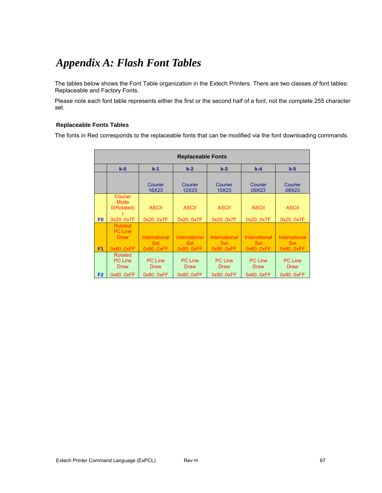# *Appendix A: Flash Font Tables*

The tables below shows the Font Table organization in the Extech Printers. There are two classes of font tables: Replaceable and Factory Fonts.

Please note each font table represents either the first or the second half of a font, not the complete 255 character set.

#### **Replaceable Fonts Tables**

The fonts in Red corresponds to the replaceable fonts that can be modified via the font downloading commands.

|                | <b>Replaceable Fonts</b>                           |                               |                                    |                               |                               |                               |  |  |
|----------------|----------------------------------------------------|-------------------------------|------------------------------------|-------------------------------|-------------------------------|-------------------------------|--|--|
|                | $k-0$<br>$k-5$<br>$k-1$<br>$k-2$<br>$k-3$<br>$k-4$ |                               |                                    |                               |                               |                               |  |  |
|                |                                                    | Courier<br>16X23              | Courier<br>12X23                   | Courier<br>10X23              | Courier<br>09X23              | Courier<br>08X23              |  |  |
|                | Courier<br>Mode<br>0(Rotated)                      | <b>ASCII</b>                  | <b>ASCII</b>                       | <b>ASCII</b>                  | <b>ASCII</b>                  | <b>ASCII</b>                  |  |  |
| F <sub>0</sub> | 0x200x7F                                           | 0x200x7F                      | 0x200x7F                           | 0x200x7F                      | 0x200x7F                      | 0x200x7F                      |  |  |
|                | Rotated<br><b>PC Line</b>                          |                               |                                    |                               |                               |                               |  |  |
|                | <b>Draw</b>                                        | International<br><b>Set</b>   | <b>International</b><br><b>Set</b> | International<br><b>Set</b>   | International<br><b>Set</b>   | International<br><b>Set</b>   |  |  |
| F <sub>1</sub> | 0x800xFF                                           | 0x800xFF                      | 0x800xFF                           | 0x800xFF                      | 0x800xFF                      | 0x800xFF                      |  |  |
|                | Rotated<br><b>PC Line</b><br><b>Draw</b>           | <b>PC Line</b><br><b>Draw</b> | <b>PC Line</b><br><b>Draw</b>      | <b>PC Line</b><br><b>Draw</b> | <b>PC Line</b><br><b>Draw</b> | <b>PC Line</b><br><b>Draw</b> |  |  |
| F <sub>2</sub> | 0x800xFF                                           | 0x800xFF                      | 0x800xFF                           | 0x800xFF                      | 0x800xFF                      | 0x800xFF                      |  |  |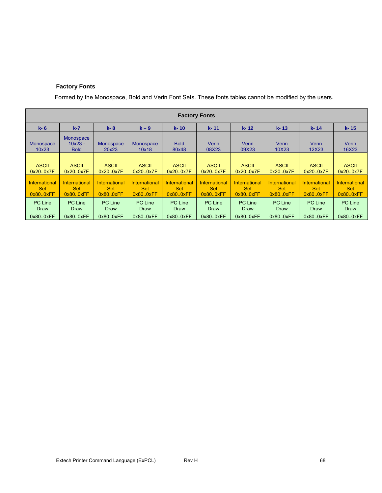## **Factory Fonts**

Formed by the Monospace, Bold and Verin Font Sets. These fonts tables cannot be modified by the users.

| <b>Factory Fonts</b>                     |                                              |                                          |                                          |                                          |                                          |                                          |                                          |                                          |                                                 |
|------------------------------------------|----------------------------------------------|------------------------------------------|------------------------------------------|------------------------------------------|------------------------------------------|------------------------------------------|------------------------------------------|------------------------------------------|-------------------------------------------------|
| $k - 6$                                  | $k-7$                                        | $k - 8$                                  | $k - 9$                                  | $k - 10$                                 | k-11                                     | $k - 12$                                 | $k - 13$                                 | $k - 14$                                 | k-15                                            |
| Monospace<br>10x23                       | <b>Monospace</b><br>$10x23 -$<br><b>Bold</b> | <b>Monospace</b><br>20x23                | Monospace<br>10x18                       | <b>Bold</b><br>80x48                     | Verin<br>08X23                           | Verin<br>09X23                           | Verin<br>10X23                           | Verin<br>12X23                           | <b>Verin</b><br>16X23                           |
| <b>ASCII</b><br>0x20.0x7F                | <b>ASCII</b><br>0x20.0x7F                    | <b>ASCII</b><br>0x200x7F                 | <b>ASCII</b><br>0x20.0x7F                | <b>ASCII</b><br>0x20.0x7F                | <b>ASCII</b><br>0x200x7F                 | <b>ASCII</b><br>0x200x7F                 | <b>ASCII</b><br>0x20.0x7F                | <b>ASCII</b><br>0x20.0x7F                | <b>ASCII</b><br>0x200x7F                        |
| International<br><b>Set</b><br>0x80.0xFF | International<br><b>Set</b><br>0x80.0xFF     | International<br><b>Set</b><br>0x80.0xFF | International<br><b>Set</b><br>0x80.0xFF | International<br><b>Set</b><br>0x80.0xFF | International<br><b>Set</b><br>0x80.0xFF | International<br><b>Set</b><br>0x80.0xFF | International<br><b>Set</b><br>0x80.0xFF | International<br><b>Set</b><br>0x80.0xFF | <b>International</b><br><b>Set</b><br>0x80.0xFF |
| <b>PC Line</b><br>Draw                   | PC Line<br>Draw                              | PC Line<br>Draw                          | <b>PC Line</b><br>Draw                   | <b>PC Line</b><br>Draw                   | <b>PC Line</b><br>Draw                   | <b>PC Line</b><br>Draw                   | PC Line<br>Draw                          | <b>PC Line</b><br>Draw                   | PC Line<br>Draw                                 |
| 0x800xFF                                 | 0x800xFF                                     | 0x800xFF                                 | 0x800xFF                                 | 0x80.0xFF                                | 0x80.0xFF                                | 0x80.0xFF                                | 0x800xFF                                 | 0x80.0xFF                                | 0x800xFF                                        |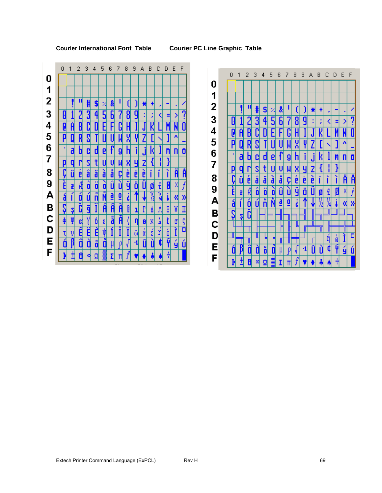## **Courier International Font Table Courier PC Line Graphic Table**